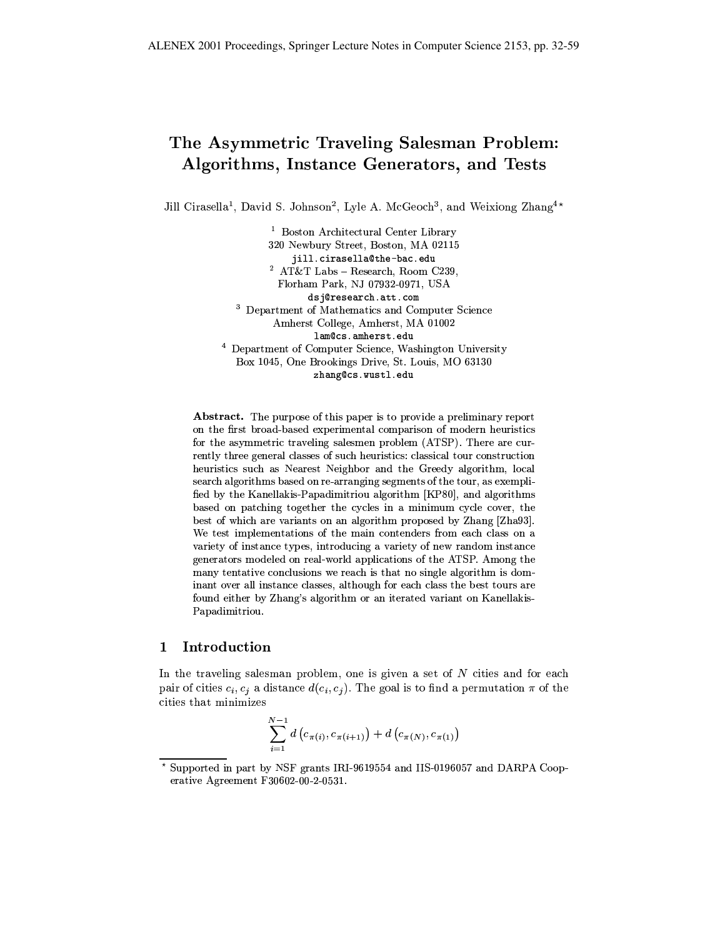# The Asymmetric Traveling Salesman Problem: Algorithms, Instance Generators, and Tests

Jill Cirasella<sup>1</sup>, David S. Johnson<sup>2</sup>, Lyle A. McGeoch<sup>3</sup>, and Weixiong Zhang<sup>4\*</sup>

<sup>1</sup> Boston Architectural Center Library 320 Newbury Street, Boston, MA 02115 jill.cirasella@the-bac.edu <sup>2</sup> AT&T Labs - Research, Room C239, Florham Park, NJ 07932-0971, USA dsj@research.att.com <sup>3</sup> Department of Mathematics and Computer Science Amherst College, Amherst, MA 01002 lam@cs.amherst.edu <sup>4</sup> Department of Computer Science, Washington University Box 1045, One Brookings Drive, St. Louis, MO 63130 zhang@cs.wustl.edu

Abstract. The purpose of this paper is to provide a preliminary report on the first broad-based experimental comparison of modern heuristics for the asymmetric traveling salesmen problem (ATSP). There are currently three general classes of such heuristics: classical tour construction heuristics such as Nearest Neighbor and the Greedy algorithm, local search algorithms based on re-arranging segments of the tour, as exemplified by the Kanellakis-Papadimitriou algorithm [KP80], and algorithms based on patching together the cycles in a minimum cycle cover, the best of which are variants on an algorithm proposed by Zhang [Zha93]. We test implementations of the main contenders from each class on a variety of instance types, introducing a variety of new random instance generators modeled on real-world applications of the ATSP. Among the many tentative conclusions we reach is that no single algorithm is dominant over all instance classes, although for each class the best tours are found either by Zhang's algorithm or an iterated variant on Kanellakis-Papadimitriou.

#### $\mathbf 1$ Introduction

In the traveling salesman problem, one is given a set of  $N$  cities and for each pair of cities  $c_i, c_j$  a distance  $d(c_i, c_j)$ . The goal is to find a permutation  $\pi$  of the cities that minimizes

$$
\sum_{i=1}^{N-1} d(c_{\pi(i)}, c_{\pi(i+1)}) + d(c_{\pi(N)}, c_{\pi(1)})
$$

Supported in part by NSF grants IRI-9619554 and IIS-0196057 and DARPA Cooperative Agreement F30602-00-2-0531.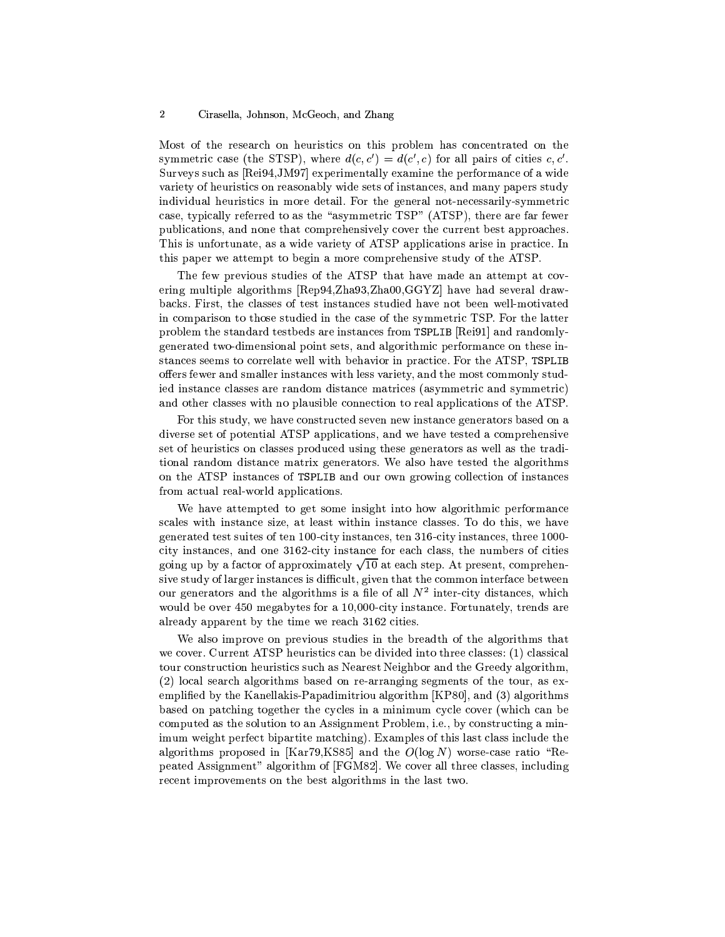#### $\overline{2}$ Cirasella, Johnson, McGeoch, and Zhang

Most of the research on heuristics on this problem has concentrated on the symmetric case (the STSP), where  $d(c, c') = d(c', c)$  for all pairs of cities c, c'. Surveys such as [Rei94, JM97] experimentally examine the performance of a wide variety of heuristics on reasonably wide sets of instances, and many papers study individual heuristics in more detail. For the general not-necessarily-symmetric case, typically referred to as the "asymmetric TSP" (ATSP), there are far fewer publications, and none that comprehensively cover the current best approaches. This is unfortunate, as a wide variety of ATSP applications arise in practice. In this paper we attempt to begin a more comprehensive study of the ATSP.

The few previous studies of the ATSP that have made an attempt at covering multiple algorithms [Rep94,Zha93,Zha00,GGYZ] have had several drawbacks. First, the classes of test instances studied have not been well-motivated in comparison to those studied in the case of the symmetric TSP. For the latter problem the standard testbeds are instances from TSPLIB [Rei91] and randomlygenerated two-dimensional point sets, and algorithmic performance on these instances seems to correlate well with behavior in practice. For the ATSP, TSPLIB offers fewer and smaller instances with less variety, and the most commonly studied instance classes are random distance matrices (asymmetric and symmetric) and other classes with no plausible connection to real applications of the ATSP.

For this study, we have constructed seven new instance generators based on a diverse set of potential ATSP applications, and we have tested a comprehensive set of heuristics on classes produced using these generators as well as the traditional random distance matrix generators. We also have tested the algorithms on the ATSP instances of TSPLIB and our own growing collection of instances from actual real-world applications.

We have attempted to get some insight into how algorithmic performance scales with instance size, at least within instance classes. To do this, we have generated test suites of ten 100-city instances, ten 316-city instances, three 1000city instances, and one 3162-city instance for each class, the numbers of cities going up by a factor of approximately  $\sqrt{10}$  at each step. At present, comprehensive study of larger instances is difficult, given that the common interface between our generators and the algorithms is a file of all  $N^2$  inter-city distances, which would be over 450 megabytes for a 10,000-city instance. Fortunately, trends are already apparent by the time we reach 3162 cities.

We also improve on previous studies in the breadth of the algorithms that we cover. Current ATSP heuristics can be divided into three classes: (1) classical tour construction heuristics such as Nearest Neighbor and the Greedy algorithm, (2) local search algorithms based on re-arranging segments of the tour, as exemplified by the Kanellakis-Papadimitriou algorithm [KP80], and (3) algorithms based on patching together the cycles in a minimum cycle cover (which can be computed as the solution to an Assignment Problem, i.e., by constructing a minimum weight perfect bipartite matching). Examples of this last class include the algorithms proposed in [Kar79,KS85] and the  $O(\log N)$  worse-case ratio "Repeated Assignment" algorithm of [FGM82]. We cover all three classes, including recent improvements on the best algorithms in the last two.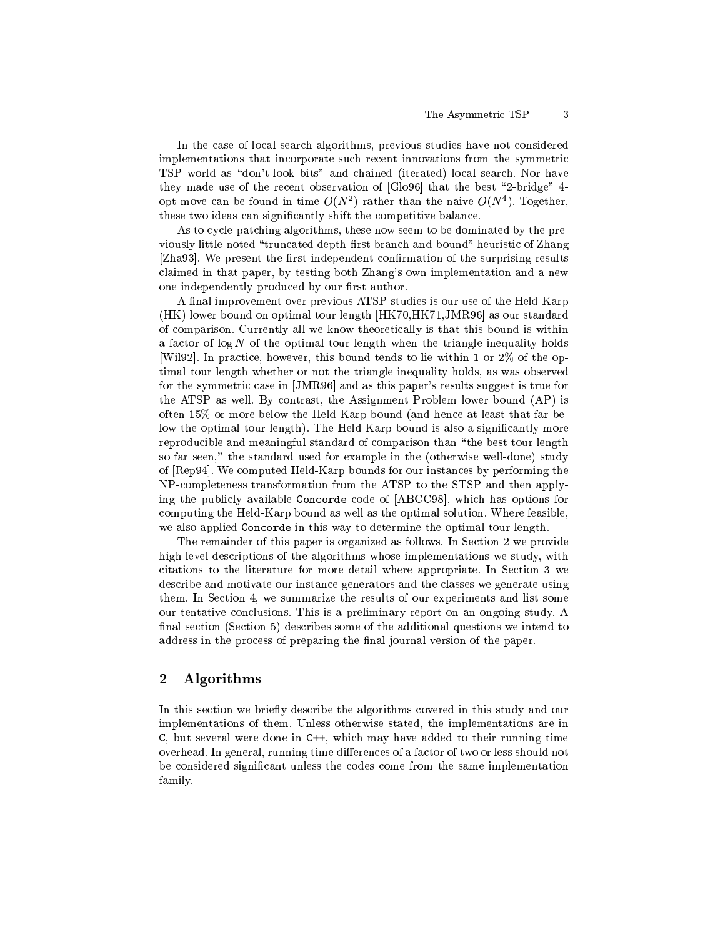In the case of local search algorithms, previous studies have not considered implementations that incorporate such recent innovations from the symmetric TSP world as "don't-look bits" and chained (iterated) local search. Nor have they made use of the recent observation of [Glo96] that the best "2-bridge" 4opt move can be found in time  $O(N^2)$  rather than the naive  $O(N^4)$ . Together, these two ideas can significantly shift the competitive balance.

As to cycle-patching algorithms, these now seem to be dominated by the previously little-noted "truncated depth-first branch-and-bound" heuristic of Zhang [Zha93]. We present the first independent confirmation of the surprising results claimed in that paper, by testing both Zhang's own implementation and a new one independently produced by our first author.

A final improvement over previous ATSP studies is our use of the Held-Karp (HK) lower bound on optimal tour length [HK70, HK71, JMR96] as our standard of comparison. Currently all we know theoretically is that this bound is within a factor of  $\log N$  of the optimal tour length when the triangle inequality holds [Wil92]. In practice, however, this bound tends to lie within 1 or 2% of the optimal tour length whether or not the triangle inequality holds, as was observed for the symmetric case in [JMR96] and as this paper's results suggest is true for the ATSP as well. By contrast, the Assignment Problem lower bound (AP) is often 15% or more below the Held-Karp bound (and hence at least that far below the optimal tour length). The Held-Karp bound is also a significantly more reproducible and meaningful standard of comparison than "the best tour length so far seen," the standard used for example in the (otherwise well-done) study of [Rep94]. We computed Held-Karp bounds for our instances by performing the NP-completeness transformation from the ATSP to the STSP and then applying the publicly available Concorde code of [ABCC98], which has options for computing the Held-Karp bound as well as the optimal solution. Where feasible, we also applied Concorde in this way to determine the optimal tour length.

The remainder of this paper is organized as follows. In Section 2 we provide high-level descriptions of the algorithms whose implementations we study, with citations to the literature for more detail where appropriate. In Section 3 we describe and motivate our instance generators and the classes we generate using them. In Section 4, we summarize the results of our experiments and list some our tentative conclusions. This is a preliminary report on an ongoing study. A final section (Section 5) describes some of the additional questions we intend to address in the process of preparing the final journal version of the paper.

#### $\overline{2}$ Algorithms

In this section we briefly describe the algorithms covered in this study and our implementations of them. Unless otherwise stated, the implementations are in C, but several were done in C++, which may have added to their running time overhead. In general, running time differences of a factor of two or less should not be considered significant unless the codes come from the same implementation family.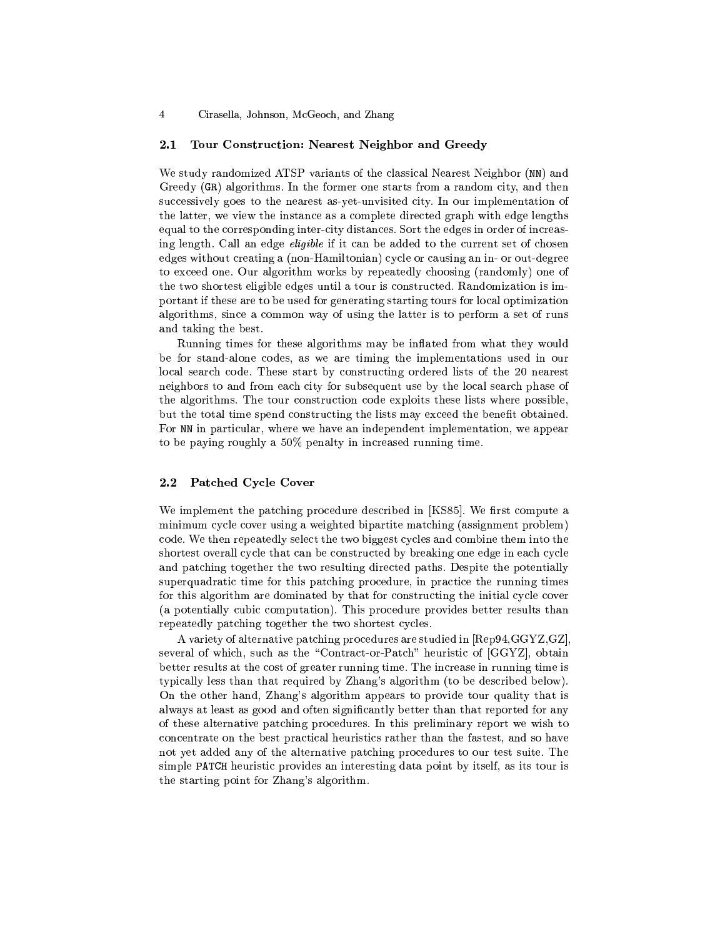#### $2.1$ Tour Construction: Nearest Neighbor and Greedy

We study randomized ATSP variants of the classical Nearest Neighbor (NN) and Greedy (GR) algorithms. In the former one starts from a random city, and then successively goes to the nearest as-yet-unvisited city. In our implementation of the latter, we view the instance as a complete directed graph with edge lengths equal to the corresponding inter-city distances. Sort the edges in order of increasing length. Call an edge *eligible* if it can be added to the current set of chosen edges without creating a (non-Hamiltonian) cycle or causing an in- or out-degree to exceed one. Our algorithm works by repeatedly choosing (randomly) one of the two shortest eligible edges until a tour is constructed. Randomization is important if these are to be used for generating starting tours for local optimization algorithms, since a common way of using the latter is to perform a set of runs and taking the best.

Running times for these algorithms may be inflated from what they would be for stand-alone codes, as we are timing the implementations used in our local search code. These start by constructing ordered lists of the 20 nearest neighbors to and from each city for subsequent use by the local search phase of the algorithms. The tour construction code exploits these lists where possible. but the total time spend constructing the lists may exceed the benefit obtained. For NN in particular, where we have an independent implementation, we appear to be paying roughly a 50% penalty in increased running time.

#### **Patched Cycle Cover**  $2.2$

We implement the patching procedure described in [KS85]. We first compute a minimum cycle cover using a weighted bipartite matching (assignment problem) code. We then repeatedly select the two biggest cycles and combine them into the shortest overall cycle that can be constructed by breaking one edge in each cycle and patching together the two resulting directed paths. Despite the potentially superquadratic time for this patching procedure, in practice the running times for this algorithm are dominated by that for constructing the initial cycle cover (a potentially cubic computation). This procedure provides better results than repeatedly patching together the two shortest cycles.

A variety of alternative patching procedures are studied in [Rep94,GGYZ,GZ], several of which, such as the "Contract-or-Patch" heuristic of [GGYZ], obtain better results at the cost of greater running time. The increase in running time is typically less than that required by Zhang's algorithm (to be described below). On the other hand, Zhang's algorithm appears to provide tour quality that is always at least as good and often significantly better than that reported for any of these alternative patching procedures. In this preliminary report we wish to concentrate on the best practical heuristics rather than the fastest, and so have not yet added any of the alternative patching procedures to our test suite. The simple PATCH heuristic provides an interesting data point by itself, as its tour is the starting point for Zhang's algorithm.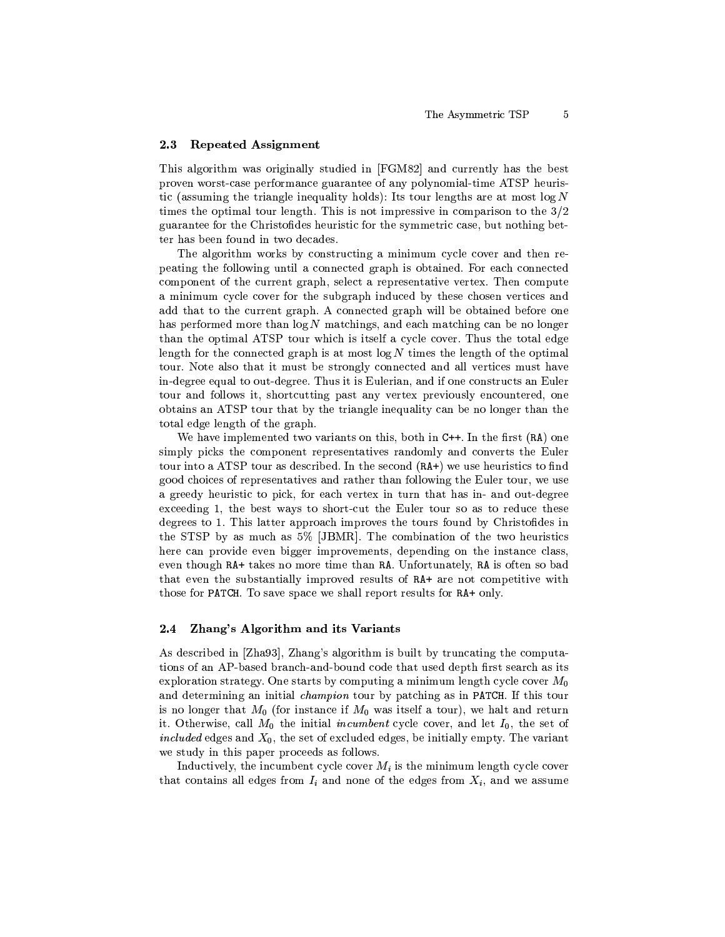#### $2.3$ **Repeated Assignment**

This algorithm was originally studied in [FGM82] and currently has the best proven worst-case performance guarantee of any polynomial-time ATSP heuristic (assuming the triangle inequality holds): Its tour lengths are at most  $\log N$ times the optimal tour length. This is not impressive in comparison to the  $3/2$ guarantee for the Christofides heuristic for the symmetric case, but nothing better has been found in two decades.

The algorithm works by constructing a minimum cycle cover and then repeating the following until a connected graph is obtained. For each connected component of the current graph, select a representative vertex. Then compute a minimum cycle cover for the subgraph induced by these chosen vertices and add that to the current graph. A connected graph will be obtained before one has performed more than  $log N$  matchings, and each matching can be no longer than the optimal ATSP tour which is itself a cycle cover. Thus the total edge length for the connected graph is at most  $log N$  times the length of the optimal tour. Note also that it must be strongly connected and all vertices must have in-degree equal to out-degree. Thus it is Eulerian, and if one constructs an Euler tour and follows it, shortcutting past any vertex previously encountered, one obtains an ATSP tour that by the triangle inequality can be no longer than the total edge length of the graph.

We have implemented two variants on this, both in C++. In the first (RA) one simply picks the component representatives randomly and converts the Euler tour into a ATSP tour as described. In the second (RA+) we use heuristics to find good choices of representatives and rather than following the Euler tour, we use a greedy heuristic to pick, for each vertex in turn that has in- and out-degree exceeding 1, the best ways to short-cut the Euler tour so as to reduce these degrees to 1. This latter approach improves the tours found by Christofides in the STSP by as much as 5% [JBMR]. The combination of the two heuristics here can provide even bigger improvements, depending on the instance class. even though RA+ takes no more time than RA. Unfortunately, RA is often so bad that even the substantially improved results of RA+ are not competitive with those for PATCH. To save space we shall report results for RA+ only.

#### Zhang's Algorithm and its Variants  $2.4$

As described in [Zha93], Zhang's algorithm is built by truncating the computations of an AP-based branch-and-bound code that used depth first search as its exploration strategy. One starts by computing a minimum length cycle cover  $M_0$ and determining an initial *champion* tour by patching as in PATCH. If this tour is no longer that  $M_0$  (for instance if  $M_0$  was itself a tour), we halt and return it. Otherwise, call  $M_0$  the initial *incumbent* cycle cover, and let  $I_0$ , the set of *included* edges and  $X_0$ , the set of excluded edges, be initially empty. The variant we study in this paper proceeds as follows.

Inductively, the incumbent cycle cover  $M_i$  is the minimum length cycle cover that contains all edges from  $I_i$  and none of the edges from  $X_i$ , and we assume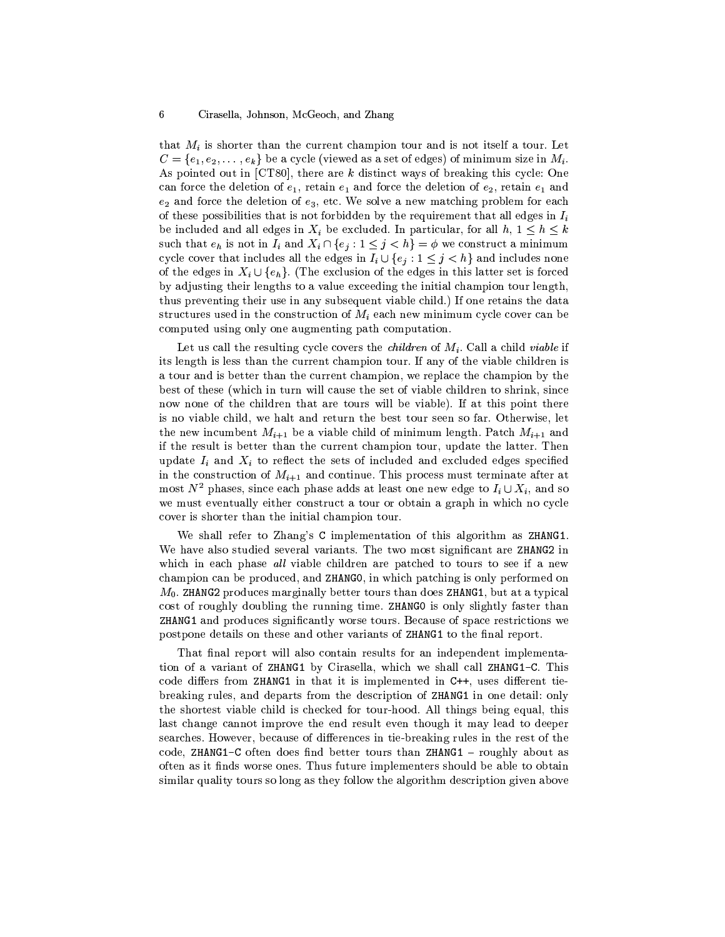that  $M_i$  is shorter than the current champion tour and is not itself a tour. Let  $C = \{e_1, e_2, \dots, e_k\}$  be a cycle (viewed as a set of edges) of minimum size in  $M_i$ . As pointed out in [CT80], there are  $k$  distinct ways of breaking this cycle: One can force the deletion of  $e_1$ , retain  $e_1$  and force the deletion of  $e_2$ , retain  $e_1$  and  $e_2$  and force the deletion of  $e_3$ , etc. We solve a new matching problem for each of these possibilities that is not forbidden by the requirement that all edges in  $I_i$ be included and all edges in  $X_i$  be excluded. In particular, for all  $h, 1 \leq h \leq k$ such that  $e_h$  is not in  $I_i$  and  $X_i \cap \{e_i : 1 \leq j < h\} = \phi$  we construct a minimum cycle cover that includes all the edges in  $I_i \cup \{e_i : 1 \leq j \leq h\}$  and includes none of the edges in  $X_i \cup \{e_h\}$ . (The exclusion of the edges in this latter set is forced by adjusting their lengths to a value exceeding the initial champion tour length, thus preventing their use in any subsequent viable child.) If one retains the data structures used in the construction of  $M_i$  each new minimum cycle cover can be computed using only one augmenting path computation.

Let us call the resulting cycle covers the *children* of  $M_i$ . Call a child *viable* if its length is less than the current champion tour. If any of the viable children is a tour and is better than the current champion, we replace the champion by the best of these (which in turn will cause the set of viable children to shrink, since now none of the children that are tours will be viable). If at this point there is no viable child, we halt and return the best tour seen so far. Otherwise, let the new incumbent  $M_{i+1}$  be a viable child of minimum length. Patch  $M_{i+1}$  and if the result is better than the current champion tour, update the latter. Then update  $I_i$  and  $X_i$  to reflect the sets of included and excluded edges specified in the construction of  $M_{i+1}$  and continue. This process must terminate after at most  $N^2$  phases, since each phase adds at least one new edge to  $I_i \cup X_i$ , and so we must eventually either construct a tour or obtain a graph in which no cycle cover is shorter than the initial champion tour.

We shall refer to Zhang's C implementation of this algorithm as ZHANG1. We have also studied several variants. The two most significant are ZHANG2 in which in each phase all viable children are patched to tours to see if a new champion can be produced, and ZHANGO, in which patching is only performed on  $M_0$ . ZHANG2 produces marginally better tours than does ZHANG1, but at a typical cost of roughly doubling the running time. ZHANGO is only slightly faster than ZHANG1 and produces significantly worse tours. Because of space restrictions we postpone details on these and other variants of ZHANG1 to the final report.

That final report will also contain results for an independent implementation of a variant of ZHANG1 by Cirasella, which we shall call ZHANG1-C. This code differs from ZHANG1 in that it is implemented in C++, uses different tiebreaking rules, and departs from the description of ZHANG1 in one detail: only the shortest viable child is checked for tour-hood. All things being equal, this last change cannot improve the end result even though it may lead to deeper searches. However, because of differences in tie-breaking rules in the rest of the code, ZHANG1-C often does find better tours than ZHANG1 - roughly about as often as it finds worse ones. Thus future implementers should be able to obtain similar quality tours so long as they follow the algorithm description given above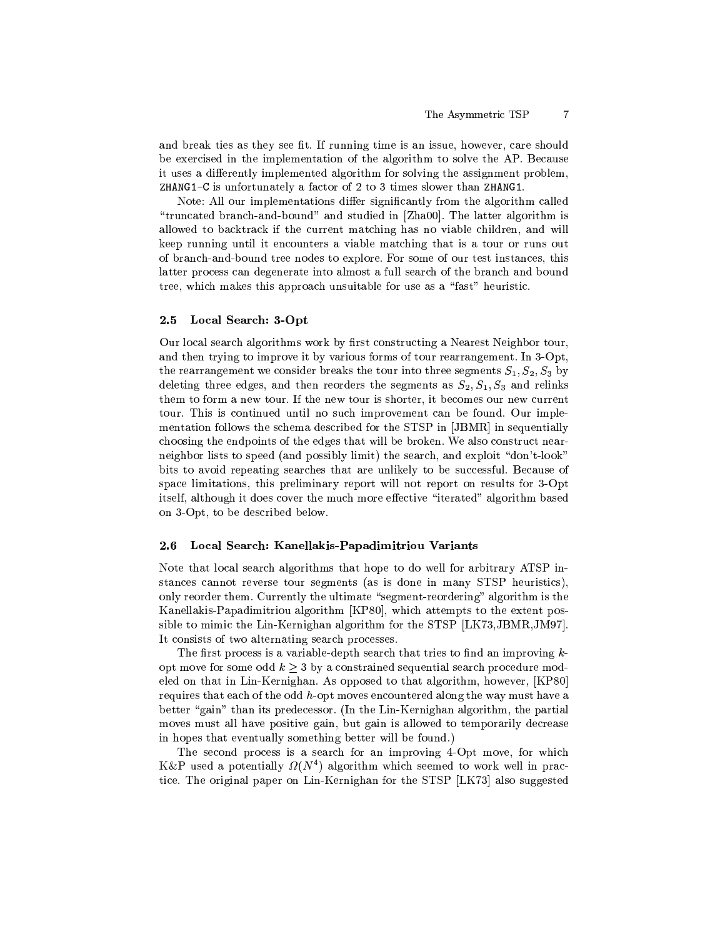and break ties as they see fit. If running time is an issue, however, care should be exercised in the implementation of the algorithm to solve the AP. Because it uses a differently implemented algorithm for solving the assignment problem, ZHANG1-C is unfortunately a factor of 2 to 3 times slower than ZHANG1.

Note: All our implementations differ significantly from the algorithm called "truncated branch-and-bound" and studied in [Zha00]. The latter algorithm is allowed to backtrack if the current matching has no viable children, and will keep running until it encounters a viable matching that is a tour or runs out of branch-and-bound tree nodes to explore. For some of our test instances, this latter process can degenerate into almost a full search of the branch and bound tree, which makes this approach unsuitable for use as a "fast" heuristic.

#### Local Search: 3-Opt  $2.5$

Our local search algorithms work by first constructing a Nearest Neighbor tour, and then trying to improve it by various forms of tour rearrangement. In 3-Opt, the rearrangement we consider breaks the tour into three segments  $S_1, S_2, S_3$  by deleting three edges, and then reorders the segments as  $S_2, S_1, S_3$  and relinks them to form a new tour. If the new tour is shorter, it becomes our new current tour. This is continued until no such improvement can be found. Our implementation follows the schema described for the STSP in [JBMR] in sequentially choosing the endpoints of the edges that will be broken. We also construct nearneighbor lists to speed (and possibly limit) the search, and exploit "don't-look" bits to avoid repeating searches that are unlikely to be successful. Because of space limitations, this preliminary report will not report on results for 3-Opt itself, although it does cover the much more effective "iterated" algorithm based on 3-Opt, to be described below.

#### Local Search: Kanellakis-Papadimitriou Variants 2.6

Note that local search algorithms that hope to do well for arbitrary ATSP instances cannot reverse tour segments (as is done in many STSP heuristics). only reorder them. Currently the ultimate "segment-reordering" algorithm is the Kanellakis-Papadimitriou algorithm [KP80], which attempts to the extent possible to mimic the Lin-Kernighan algorithm for the STSP [LK73, JBMR, JM97]. It consists of two alternating search processes.

The first process is a variable-depth search that tries to find an improving  $k$ opt move for some odd  $k \geq 3$  by a constrained sequential search procedure modeled on that in Lin-Kernighan. As opposed to that algorithm, however, [KP80] requires that each of the odd h-opt moves encountered along the way must have a better "gain" than its predecessor. (In the Lin-Kernighan algorithm, the partial moves must all have positive gain, but gain is allowed to temporarily decrease in hopes that eventually something better will be found.)

The second process is a search for an improving 4-Opt move, for which K&P used a potentially  $\Omega(N^4)$  algorithm which seemed to work well in practice. The original paper on Lin-Kernighan for the STSP [LK73] also suggested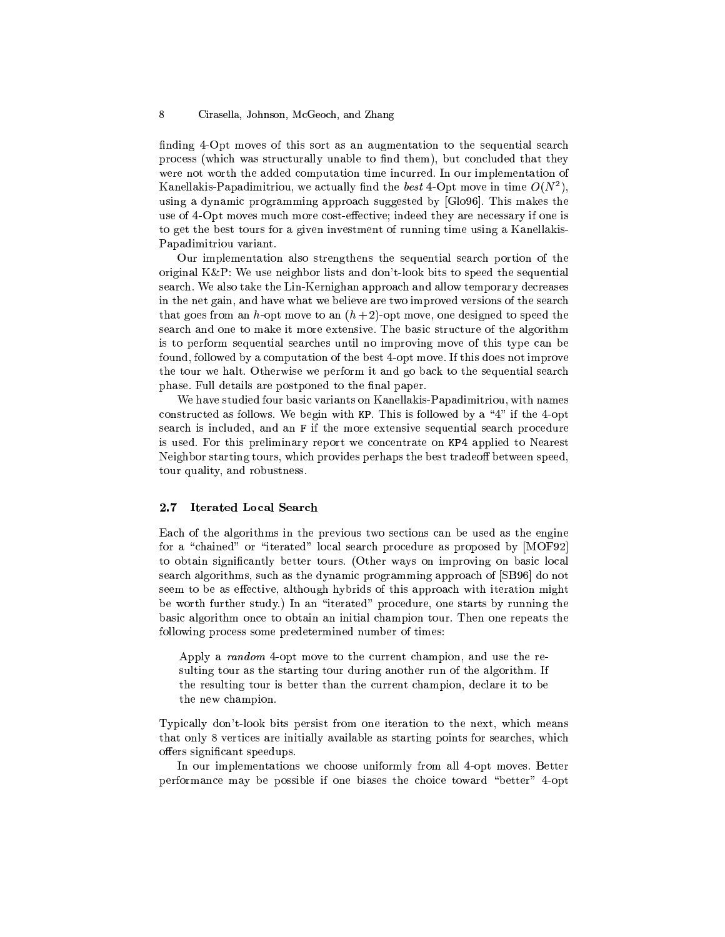finding 4-Opt moves of this sort as an augmentation to the sequential search process (which was structurally unable to find them), but concluded that they were not worth the added computation time incurred. In our implementation of Kanellakis-Papadimitriou, we actually find the best 4-Opt move in time  $O(N^2)$ , using a dynamic programming approach suggested by [Glo96]. This makes the use of 4-Opt moves much more cost-effective; indeed they are necessary if one is to get the best tours for a given investment of running time using a Kanellakis-Papadimitriou variant.

Our implementation also strengthens the sequential search portion of the original  $K\&P$ : We use neighbor lists and don't-look bits to speed the sequential search. We also take the Lin-Kernighan approach and allow temporary decreases in the net gain, and have what we believe are two improved versions of the search that goes from an h-opt move to an  $(h+2)$ -opt move, one designed to speed the search and one to make it more extensive. The basic structure of the algorithm is to perform sequential searches until no improving move of this type can be found, followed by a computation of the best 4-opt move. If this does not improve the tour we halt. Otherwise we perform it and go back to the sequential search phase. Full details are postponed to the final paper.

We have studied four basic variants on Kanellakis-Papadimitriou, with names constructed as follows. We begin with KP. This is followed by a "4" if the 4-opt search is included, and an F if the more extensive sequential search procedure is used. For this preliminary report we concentrate on KP4 applied to Nearest Neighbor starting tours, which provides perhaps the best tradeoff between speed, tour quality, and robustness.

#### $2.7$ **Iterated Local Search**

Each of the algorithms in the previous two sections can be used as the engine for a "chained" or "iterated" local search procedure as proposed by [MOF92] to obtain significantly better tours. (Other ways on improving on basic local search algorithms, such as the dynamic programming approach of [SB96] do not seem to be as effective, although hybrids of this approach with iteration might be worth further study.) In an "iterated" procedure, one starts by running the basic algorithm once to obtain an initial champion tour. Then one repeats the following process some predetermined number of times:

Apply a *random* 4-opt move to the current champion, and use the resulting tour as the starting tour during another run of the algorithm. If the resulting tour is better than the current champion, declare it to be the new champion.

Typically don't-look bits persist from one iteration to the next, which means that only 8 vertices are initially available as starting points for searches, which offers significant speedups.

In our implementations we choose uniformly from all 4-opt moves. Better performance may be possible if one biases the choice toward "better" 4-opt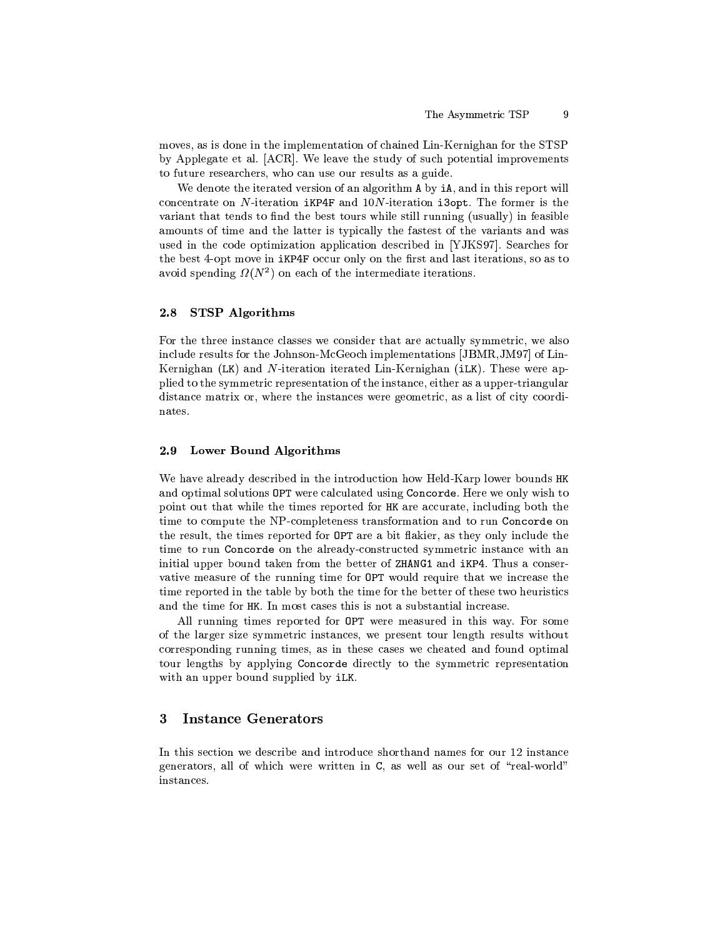moves, as is done in the implementation of chained Lin-Kernighan for the STSP by Applegate et al. [ACR]. We leave the study of such potential improvements to future researchers, who can use our results as a guide.

We denote the iterated version of an algorithm A by iA, and in this report will concentrate on  $N$ -iteration iKP4F and  $10N$ -iteration i3opt. The former is the variant that tends to find the best tours while still running (usually) in feasible amounts of time and the latter is typically the fastest of the variants and was used in the code optimization application described in [YJKS97]. Searches for the best 4-opt move in iKP4F occur only on the first and last iterations, so as to avoid spending  $\Omega(N^2)$  on each of the intermediate iterations.

#### **STSP Algorithms** 2.8

For the three instance classes we consider that are actually symmetric, we also include results for the Johnson-McGeoch implementations [JBMR, JM97] of Lin-Kernighan (LK) and N-iteration iterated Lin-Kernighan (iLK). These were applied to the symmetric representation of the instance, either as a upper-triangular distance matrix or, where the instances were geometric, as a list of city coordinates.

#### $2.9$ Lower Bound Algorithms

We have already described in the introduction how Held-Karp lower bounds HK and optimal solutions OPT were calculated using Concorde. Here we only wish to point out that while the times reported for HK are accurate, including both the time to compute the NP-completeness transformation and to run Concorde on the result, the times reported for OPT are a bit flakier, as they only include the time to run Concorde on the already-constructed symmetric instance with an initial upper bound taken from the better of ZHANG1 and iKP4. Thus a conservative measure of the running time for OPT would require that we increase the time reported in the table by both the time for the better of these two heuristics and the time for HK. In most cases this is not a substantial increase.

All running times reported for OPT were measured in this way. For some of the larger size symmetric instances, we present tour length results without corresponding running times, as in these cases we cheated and found optimal tour lengths by applying Concorde directly to the symmetric representation with an upper bound supplied by iLK.

#### **Instance Generators** 3

In this section we describe and introduce shorthand names for our 12 instance generators, all of which were written in C, as well as our set of "real-world" instances.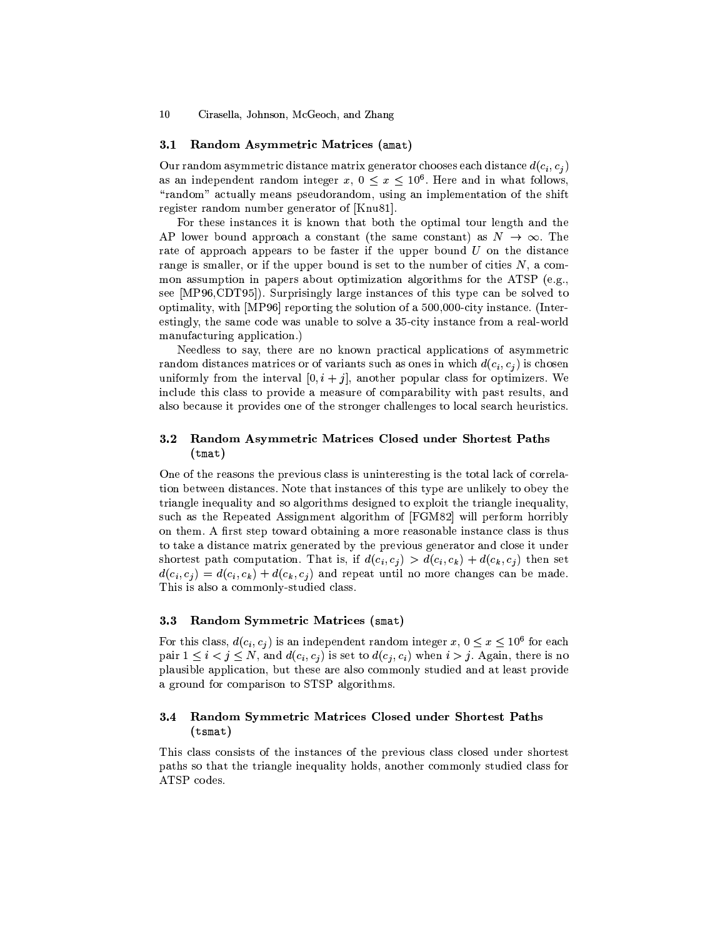#### $3.1$ Random Asymmetric Matrices (amat)

Our random asymmetric distance matrix generator chooses each distance  $d(c_i, c_i)$ as an independent random integer x,  $0 \leq x \leq 10^6$ . Here and in what follows, "random" actually means pseudorandom, using an implementation of the shift register random number generator of [Knu81].

For these instances it is known that both the optimal tour length and the AP lower bound approach a constant (the same constant) as  $N \to \infty$ . The rate of approach appears to be faster if the upper bound  $U$  on the distance range is smaller, or if the upper bound is set to the number of cities  $N$ , a common assumption in papers about optimization algorithms for the ATSP (e.g., see [MP96,CDT95]). Surprisingly large instances of this type can be solved to optimality, with [MP96] reporting the solution of a 500,000-city instance. (Interestingly, the same code was unable to solve a 35-city instance from a real-world manufacturing application.)

Needless to say, there are no known practical applications of asymmetric random distances matrices or of variants such as ones in which  $d(c_i, c_j)$  is chosen uniformly from the interval  $[0, i + j]$ , another popular class for optimizers. We include this class to provide a measure of comparability with past results, and also because it provides one of the stronger challenges to local search heuristics.

## $3.2$ Random Asymmetric Matrices Closed under Shortest Paths  $(t$ mat)

One of the reasons the previous class is uninteresting is the total lack of correlation between distances. Note that instances of this type are unlikely to obey the triangle inequality and so algorithms designed to exploit the triangle inequality, such as the Repeated Assignment algorithm of [FGM82] will perform horribly on them. A first step toward obtaining a more reasonable instance class is thus to take a distance matrix generated by the previous generator and close it under shortest path computation. That is, if  $d(c_i, c_j) > d(c_i, c_k) + d(c_k, c_j)$  then set  $d(c_i, c_j) = d(c_i, c_k) + d(c_k, c_j)$  and repeat until no more changes can be made. This is also a commonly-studied class.

#### $3.3$ Random Symmetric Matrices (smat)

For this class,  $d(c_i, c_j)$  is an independent random integer x,  $0 \le x \le 10^6$  for each pair  $1 \leq i \leq j \leq N$ , and  $d(c_i, c_j)$  is set to  $d(c_j, c_i)$  when  $i > j$ . Again, there is no plausible application, but these are also commonly studied and at least provide a ground for comparison to STSP algorithms.

## Random Symmetric Matrices Closed under Shortest Paths 3.4  $(t$ smat)

This class consists of the instances of the previous class closed under shortest paths so that the triangle inequality holds, another commonly studied class for ATSP codes.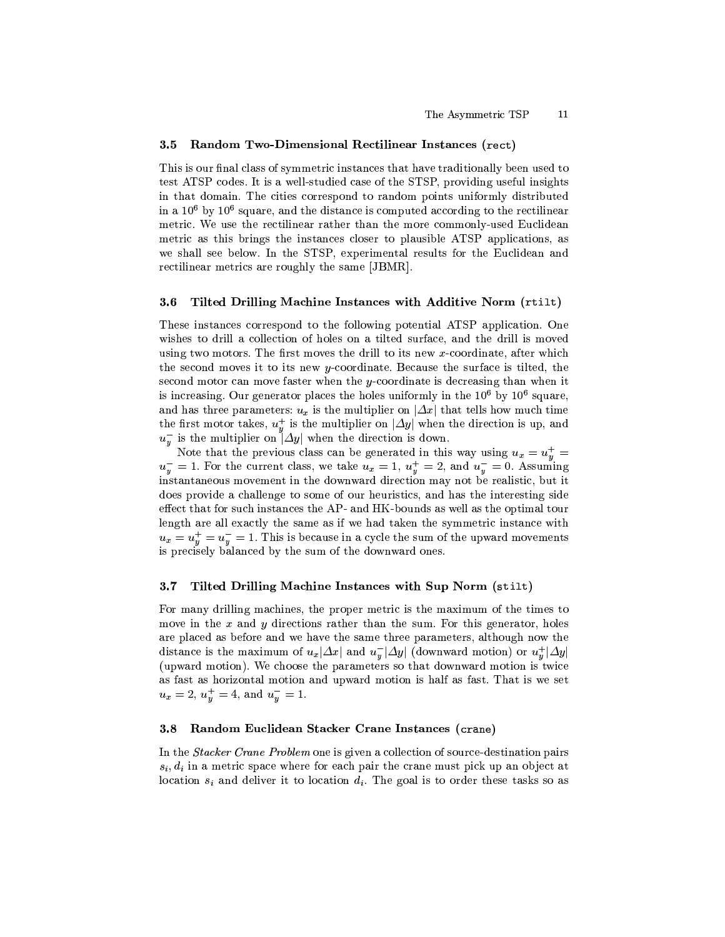#### $3.5$ Random Two-Dimensional Rectilinear Instances (rect)

This is our final class of symmetric instances that have traditionally been used to test ATSP codes. It is a well-studied case of the STSP, providing useful insights in that domain. The cities correspond to random points uniformly distributed in a  $10^6$  by  $10^6$  square, and the distance is computed according to the rectilinear metric. We use the rectilinear rather than the more commonly-used Euclidean metric as this brings the instances closer to plausible ATSP applications, as we shall see below. In the STSP, experimental results for the Euclidean and rectilinear metrics are roughly the same [JBMR].

#### 3.6 Tilted Drilling Machine Instances with Additive Norm (rtilt)

These instances correspond to the following potential ATSP application. One wishes to drill a collection of holes on a tilted surface, and the drill is moved using two motors. The first moves the drill to its new  $x$ -coordinate, after which the second moves it to its new *y*-coordinate. Because the surface is tilted, the second motor can move faster when the  $y$ -coordinate is decreasing than when it is increasing. Our generator places the holes uniformly in the  $10^6$  by  $10^6$  square. and has three parameters:  $u_x$  is the multiplier on  $|\Delta x|$  that tells how much time the first motor takes,  $u_v^+$  is the multiplier on  $|\Delta y|$  when the direction is up, and  $u_u^-$  is the multiplier on  $\Delta y$  when the direction is down.

Note that the previous class can be generated in this way using  $u_x = u_y^+$  $u_y$  = 1. For the current class, we take  $u_x = 1$ ,  $u_y^+ = 2$ , and  $u_y^- = 0$ . Assuming instantaneous movement in the downward direction may not be realistic, but it does provide a challenge to some of our heuristics, and has the interesting side effect that for such instances the AP- and HK-bounds as well as the optimal tour length are all exactly the same as if we had taken the symmetric instance with  $u_x = u_y^+ = u_y^- = 1$ . This is because in a cycle the sum of the upward movements is precisely balanced by the sum of the downward ones.

#### Tilted Drilling Machine Instances with Sup Norm (stilt)  $3.7$

For many drilling machines, the proper metric is the maximum of the times to move in the  $x$  and  $y$  directions rather than the sum. For this generator, holes are placed as before and we have the same three parameters, although now the distance is the maximum of  $u_x|\Delta x|$  and  $u_y^-|\Delta y|$  (downward motion) or  $u_y^+|\Delta y|$ (upward motion). We choose the parameters so that downward motion is twice as fast as horizontal motion and upward motion is half as fast. That is we set  $u_x = 2, u_y^+ = 4, \text{ and } u_y^- = 1.$ 

#### 3.8 Random Euclidean Stacker Crane Instances (crane)

In the *Stacker Crane Problem* one is given a collection of source-destination pairs  $s_i, d_i$  in a metric space where for each pair the crane must pick up an object at location  $s_i$  and deliver it to location  $d_i$ . The goal is to order these tasks so as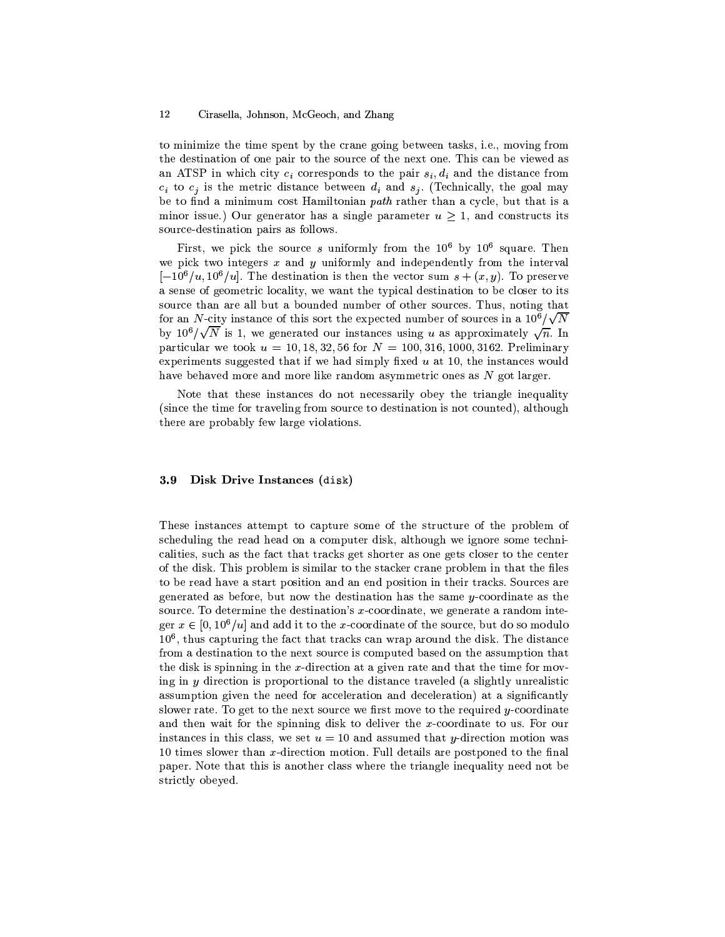to minimize the time spent by the crane going between tasks, i.e., moving from the destination of one pair to the source of the next one. This can be viewed as an ATSP in which city  $c_i$  corresponds to the pair  $s_i, d_i$  and the distance from  $c_i$  to  $c_j$  is the metric distance between  $d_i$  and  $s_j$ . (Technically, the goal may be to find a minimum cost Hamiltonian path rather than a cycle, but that is a minor issue.) Our generator has a single parameter  $u \geq 1$ , and constructs its source-destination pairs as follows.

First, we pick the source s uniformly from the  $10^6$  by  $10^6$  square. Then we pick two integers  $x$  and  $y$  uniformly and independently from the interval  $[-10^6/u, 10^6/u]$ . The destination is then the vector sum  $s + (x, y)$ . To preserve a sense of geometric locality, we want the typical destination to be closer to its source than are all but a bounded number of other sources. Thus, noting that for an N-city instance of this sort the expected number of sources in a  $10^6/\sqrt{N}$ by  $10^6/\sqrt{N}$  is 1, we generated our instances using u as approximately  $\sqrt{n}$ . In particular we took  $u = 10, 18, 32, 56$  for  $N = 100, 316, 1000, 3162$ . Preliminary experiments suggested that if we had simply fixed  $u$  at 10, the instances would have behaved more and more like random asymmetric ones as  $N$  got larger.

Note that these instances do not necessarily obey the triangle inequality (since the time for traveling from source to destination is not counted), although there are probably few large violations.

#### Disk Drive Instances (disk)  $3.9$

These instances attempt to capture some of the structure of the problem of scheduling the read head on a computer disk, although we ignore some technicalities, such as the fact that tracks get shorter as one gets closer to the center of the disk. This problem is similar to the stacker crane problem in that the files to be read have a start position and an end position in their tracks. Sources are generated as before, but now the destination has the same y-coordinate as the source. To determine the destination's  $x$ -coordinate, we generate a random integer  $x \in [0, 10^6/u]$  and add it to the x-coordinate of the source, but do so modulo  $10<sup>6</sup>$ , thus capturing the fact that tracks can wrap around the disk. The distance from a destination to the next source is computed based on the assumption that the disk is spinning in the x-direction at a given rate and that the time for moving in  $y$  direction is proportional to the distance traveled (a slightly unrealistic assumption given the need for acceleration and deceleration) at a significantly slower rate. To get to the next source we first move to the required  $y$ -coordinate and then wait for the spinning disk to deliver the x-coordinate to us. For our instances in this class, we set  $u = 10$  and assumed that y-direction motion was 10 times slower than x-direction motion. Full details are postponed to the final paper. Note that this is another class where the triangle inequality need not be strictly obeyed.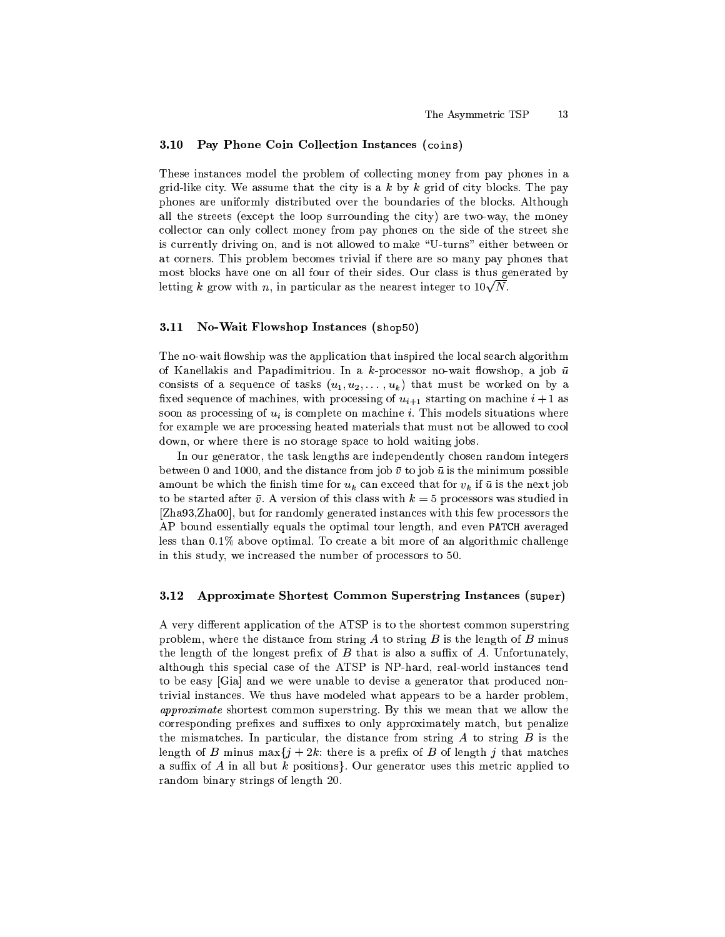#### $3.10$ Pay Phone Coin Collection Instances (coins)

These instances model the problem of collecting money from pay phones in a grid-like city. We assume that the city is a  $k$  by  $k$  grid of city blocks. The pay phones are uniformly distributed over the boundaries of the blocks. Although all the streets (except the loop surrounding the city) are two-way, the money collector can only collect money from pay phones on the side of the street she is currently driving on, and is not allowed to make "U-turns" either between or at corners. This problem becomes trivial if there are so many pay phones that most blocks have one on all four of their sides. Our class is thus generated by letting k grow with n, in particular as the nearest integer to  $10\sqrt{N}$ .

#### No-Wait Flowshop Instances (shop50) 3.11

The no-wait flowship was the application that inspired the local search algorithm of Kanellakis and Papadimitriou. In a k-processor no-wait flowshop, a job  $\bar{u}$ consists of a sequence of tasks  $(u_1, u_2, \ldots, u_k)$  that must be worked on by a fixed sequence of machines, with processing of  $u_{i+1}$  starting on machine  $i+1$  as soon as processing of  $u_i$  is complete on machine i. This models situations where for example we are processing heated materials that must not be allowed to cool down, or where there is no storage space to hold waiting jobs.

In our generator, the task lengths are independently chosen random integers between 0 and 1000, and the distance from job  $\bar{v}$  to job  $\bar{u}$  is the minimum possible amount be which the finish time for  $u_k$  can exceed that for  $v_k$  if  $\bar{u}$  is the next job to be started after  $\bar{v}$ . A version of this class with  $k=5$  processors was studied in [Zha93,Zha00], but for randomly generated instances with this few processors the AP bound essentially equals the optimal tour length, and even PATCH averaged less than 0.1% above optimal. To create a bit more of an algorithmic challenge in this study, we increased the number of processors to 50.

#### Approximate Shortest Common Superstring Instances (super)  $3.12$

A very different application of the ATSP is to the shortest common superstring problem, where the distance from string  $A$  to string  $B$  is the length of  $B$  minus the length of the longest prefix of  $B$  that is also a suffix of  $A$ . Unfortunately, although this special case of the ATSP is NP-hard, real-world instances tend to be easy [Gia] and we were unable to devise a generator that produced nontrivial instances. We thus have modeled what appears to be a harder problem, *approximate* shortest common superstring. By this we mean that we allow the corresponding prefixes and suffixes to only approximately match, but penalize the mismatches. In particular, the distance from string  $A$  to string  $B$  is the length of B minus  $\max\{i+2k:$  there is a prefix of B of length j that matches a suffix of A in all but k positions. Our generator uses this metric applied to random binary strings of length 20.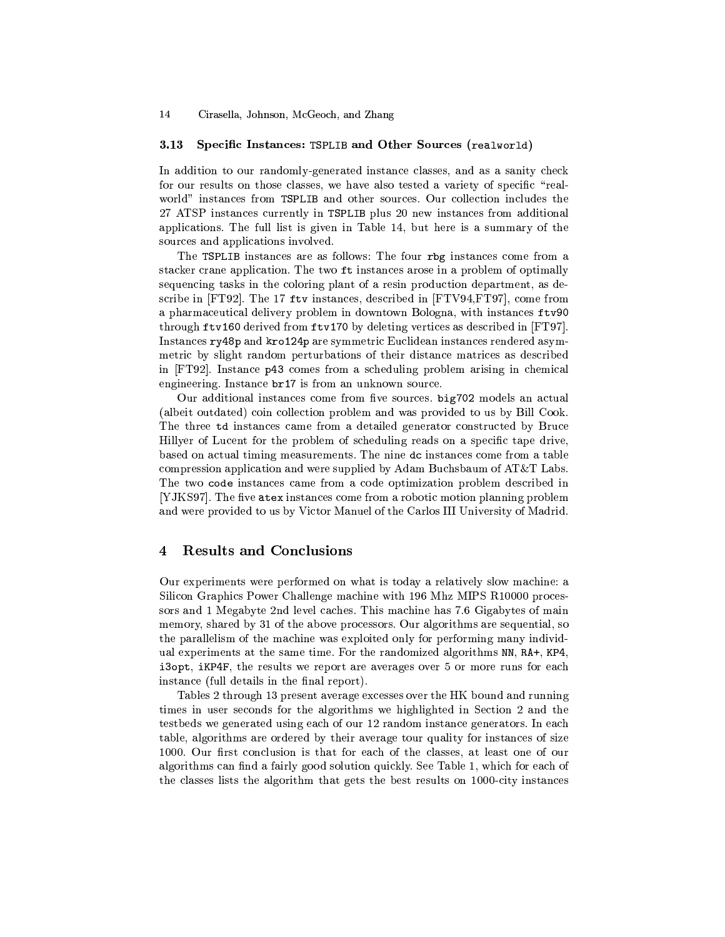#### Specific Instances: TSPLIB and Other Sources (realworld) 3.13

In addition to our randomly-generated instance classes, and as a sanity check for our results on those classes, we have also tested a variety of specific "realworld" instances from TSPLIB and other sources. Our collection includes the 27 ATSP instances currently in TSPLIB plus 20 new instances from additional applications. The full list is given in Table 14, but here is a summary of the sources and applications involved.

The TSPLIB instances are as follows: The four rbg instances come from a stacker crane application. The two ft instances arose in a problem of optimally sequencing tasks in the coloring plant of a resin production department, as describe in [FT92]. The 17 ftv instances, described in [FTV94,FT97], come from a pharmaceutical delivery problem in downtown Bologna, with instances ftv90 through f tv160 derived from f tv170 by deleting vertices as described in [FT97]. Instances ry48p and kro124p are symmetric Euclidean instances rendered asymmetric by slight random perturbations of their distance matrices as described in [FT92]. Instance p43 comes from a scheduling problem arising in chemical engineering. Instance br17 is from an unknown source.

Our additional instances come from five sources. big702 models an actual (albeit outdated) coin collection problem and was provided to us by Bill Cook. The three td instances came from a detailed generator constructed by Bruce Hillyer of Lucent for the problem of scheduling reads on a specific tape drive, based on actual timing measurements. The nine dc instances come from a table compression application and were supplied by Adam Buchsbaum of AT&T Labs. The two code instances came from a code optimization problem described in [YJKS97]. The five atex instances come from a robotic motion planning problem and were provided to us by Victor Manuel of the Carlos III University of Madrid.

#### **Results and Conclusions**  $\overline{\mathbf{4}}$

Our experiments were performed on what is today a relatively slow machine: a Silicon Graphics Power Challenge machine with 196 Mhz MIPS R10000 processors and 1 Megabyte 2nd level caches. This machine has 7.6 Gigabytes of main memory, shared by 31 of the above processors. Our algorithms are sequential, so the parallelism of the machine was exploited only for performing many individual experiments at the same time. For the randomized algorithms NN, RA+, KP4, i3opt, iKP4F, the results we report are averages over 5 or more runs for each instance (full details in the final report).

Tables 2 through 13 present average excesses over the HK bound and running times in user seconds for the algorithms we highlighted in Section 2 and the testbeds we generated using each of our 12 random instance generators. In each table, algorithms are ordered by their average tour quality for instances of size 1000. Our first conclusion is that for each of the classes, at least one of our algorithms can find a fairly good solution quickly. See Table 1, which for each of the classes lists the algorithm that gets the best results on 1000-city instances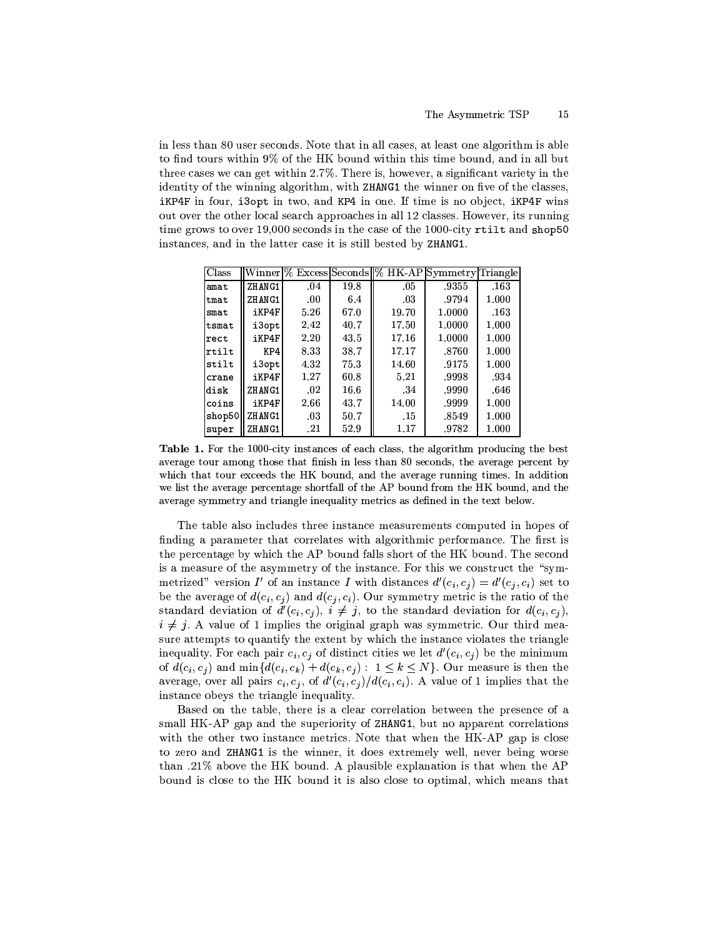in less than 80 user seconds. Note that in all cases, at least one algorithm is able to find tours within 9% of the HK bound within this time bound, and in all but three cases we can get within 2.7%. There is, however, a significant variety in the identity of the winning algorithm, with ZHANG1 the winner on five of the classes, iKP4F in four, i3opt in two, and KP4 in one. If time is no object, iKP4F wins out over the other local search approaches in all 12 classes. However, its running time grows to over 19,000 seconds in the case of the 1000-city rtilt and shop50 instances, and in the latter case it is still bested by ZHANG1.

| Class  |        |            |      | $\operatorname{Winner}  \%$ $\operatorname{Excess}  \operatorname{Seconds}   \!   \% \, \operatorname{HK-AP}  \operatorname{Symmetry}  \operatorname{Triangle} $ |        |       |
|--------|--------|------------|------|------------------------------------------------------------------------------------------------------------------------------------------------------------------|--------|-------|
| amat   | ZHANG1 | .04        | 19.8 | .05                                                                                                                                                              | 9355   | .163  |
| tmat   | ZHANG1 | $\cdot$ 00 | 6.4  | .03                                                                                                                                                              | .9794  | 1.000 |
| smat   | iKP4F  | 5.26       | 67.0 | 19.70                                                                                                                                                            | 1.0000 | .163  |
| tsmat  | i3opt  | 2.42       | 40.7 | 17.50                                                                                                                                                            | 1.0000 | 1.000 |
| rect   | iKP4F  | 2.20       | 43.5 | 17.16                                                                                                                                                            | 1.0000 | 1.000 |
| rtilt  | KP4    | 8.33       | 38.7 | 17.17                                                                                                                                                            | .8760  | 1.000 |
| stilt  | i3opt  | 4.32       | 75.3 | 14.60                                                                                                                                                            | .9175  | 1.000 |
| crane  | iKP4F  | 1.27       | 60.8 | 5.21                                                                                                                                                             | .9998  | .934  |
| disk   | ZHANG1 | .02        | 16.6 | -34                                                                                                                                                              | .9990  | .646  |
| coins  | iKP4F  | 2.66       | 43.7 | 14.00                                                                                                                                                            | .9999  | 1.000 |
| shop50 | ZHANG1 | 03         | 50.7 | .15                                                                                                                                                              | .8549  | 1.000 |
| super  | ZHANG1 | .21        | 52.9 | 1.17                                                                                                                                                             | 9782   | 1.000 |

Table 1. For the 1000-city instances of each class, the algorithm producing the best average tour among those that finish in less than 80 seconds, the average percent by which that tour exceeds the HK bound, and the average running times. In addition we list the average percentage shortfall of the AP bound from the HK bound, and the average symmetry and triangle inequality metrics as defined in the text below.

The table also includes three instance measurements computed in hopes of finding a parameter that correlates with algorithmic performance. The first is the percentage by which the AP bound falls short of the HK bound. The second is a measure of the asymmetry of the instance. For this we construct the "symmetrized" version I' of an instance I with distances  $d'(c_i, c_j) = d'(c_i, c_i)$  set to be the average of  $d(c_i, c_j)$  and  $d(c_j, c_i)$ . Our symmetry metric is the ratio of the standard deviation of  $d'(c_i, c_j)$ ,  $i \neq j$ , to the standard deviation for  $d(c_i, c_j)$ ,  $i \neq j$ . A value of 1 implies the original graph was symmetric. Our third measure attempts to quantify the extent by which the instance violates the triangle inequality. For each pair  $c_i, c_j$  of distinct cities we let  $d'(c_i, c_j)$  be the minimum of  $d(c_i, c_j)$  and  $\min\{d(c_i, c_k) + d(c_k, c_j) : 1 \leq k \leq N\}$ . Our measure is then the average, over all pairs  $c_i, c_j$ , of  $d'(c_i, c_j)/d(c_i, c_i)$ . A value of 1 implies that the instance obeys the triangle inequality.

Based on the table, there is a clear correlation between the presence of a small HK-AP gap and the superiority of ZHANG1, but no apparent correlations with the other two instance metrics. Note that when the HK-AP gap is close to zero and ZHANG1 is the winner, it does extremely well, never being worse than .21% above the HK bound. A plausible explanation is that when the AP bound is close to the HK bound it is also close to optimal, which means that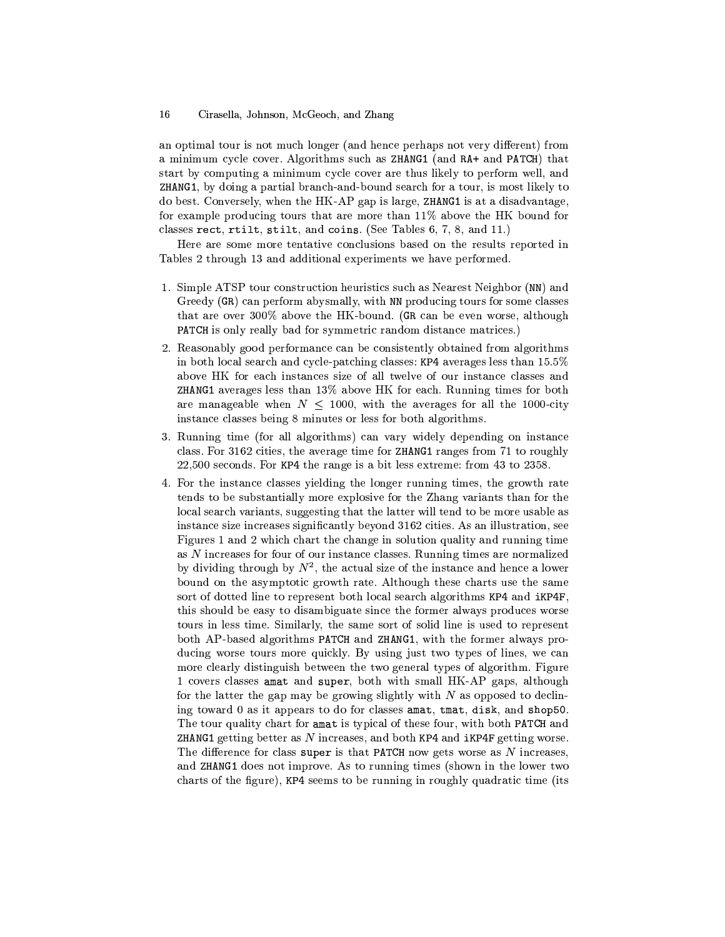an optimal tour is not much longer (and hence perhaps not very different) from a minimum cycle cover. Algorithms such as ZHANG1 (and RA+ and PATCH) that start by computing a minimum cycle cover are thus likely to perform well, and ZHANG1, by doing a partial branch-and-bound search for a tour, is most likely to do best. Conversely, when the HK-AP gap is large, ZHANG1 is at a disadvantage, for example producing tours that are more than  $11\%$  above the HK bound for classes rect, rtilt, stilt, and coins. (See Tables 6, 7, 8, and 11.)

Here are some more tentative conclusions based on the results reported in Tables 2 through 13 and additional experiments we have performed.

- 1. Simple ATSP tour construction heuristics such as Nearest Neighbor (NN) and Greedy (GR) can perform aby smally, with NN producing tours for some classes that are over 300% above the HK-bound. (GR can be even worse, although PATCH is only really bad for symmetric random distance matrices.)
- 2. Reasonably good performance can be consistently obtained from algorithms in both local search and cycle-patching classes: KP4 averages less than  $15.5\%$ above HK for each instances size of all twelve of our instance classes and ZHANG1 averages less than 13% above HK for each. Running times for both are manageable when  $N \leq 1000$ , with the averages for all the 1000-city instance classes being 8 minutes or less for both algorithms.
- 3. Running time (for all algorithms) can vary widely depending on instance class. For 3162 cities, the average time for ZHANG1 ranges from 71 to roughly 22,500 seconds. For KP4 the range is a bit less extreme: from 43 to 2358.
- 4. For the instance classes yielding the longer running times, the growth rate tends to be substantially more explosive for the Zhang variants than for the local search variants, suggesting that the latter will tend to be more usable as instance size increases significantly beyond 3162 cities. As an illustration, see Figures 1 and 2 which chart the change in solution quality and running time as  $N$  increases for four of our instance classes. Running times are normalized by dividing through by  $N^2$ , the actual size of the instance and hence a lower bound on the asymptotic growth rate. Although these charts use the same sort of dotted line to represent both local search algorithms KP4 and iKP4F, this should be easy to disambiguate since the former always produces worse tours in less time. Similarly, the same sort of solid line is used to represent both AP-based algorithms PATCH and ZHANG1, with the former always producing worse tours more quickly. By using just two types of lines, we can more clearly distinguish between the two general types of algorithm. Figure 1 covers classes amat and super, both with small HK-AP gaps, although for the latter the gap may be growing slightly with  $N$  as opposed to declining toward 0 as it appears to do for classes amat, tmat, disk, and shop50. The tour quality chart for a mat is typical of these four, with both PATCH and ZHANG1 getting better as  $N$  increases, and both KP4 and  $i$ KP4F getting worse. The difference for class super is that PATCH now gets worse as N increases, and ZHANG1 does not improve. As to running times (shown in the lower two charts of the figure), KP4 seems to be running in roughly quadratic time (its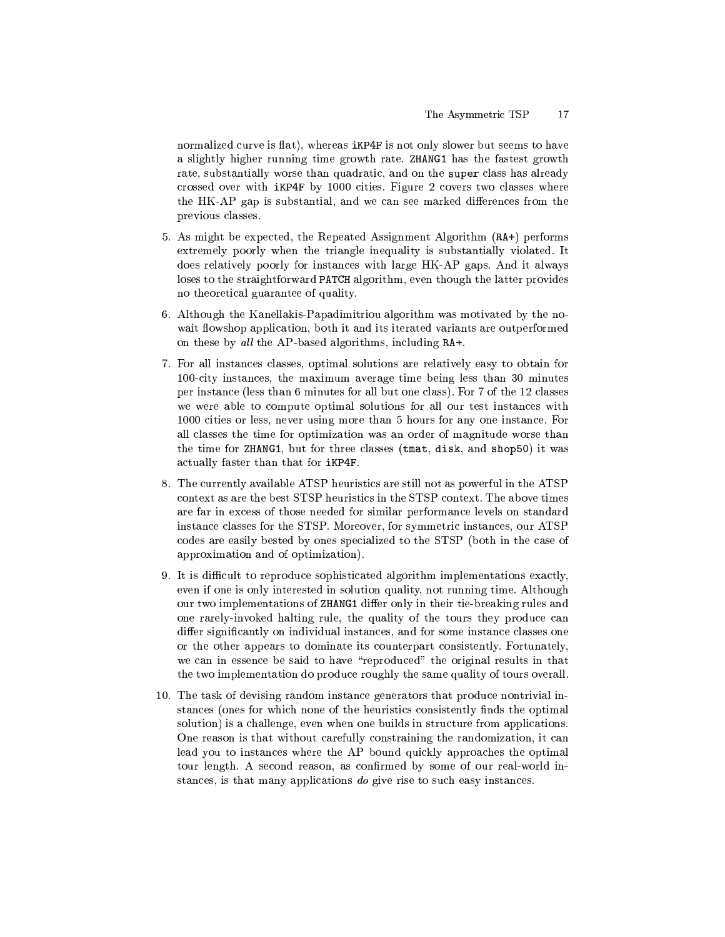normalized curve is flat), whereas iKP4F is not only slower but seems to have a slightly higher running time growth rate. ZHANG1 has the fastest growth rate, substantially worse than quadratic, and on the super class has already crossed over with iKP4F by 1000 cities. Figure 2 covers two classes where the HK-AP gap is substantial, and we can see marked differences from the previous classes.

- 5. As might be expected, the Repeated Assignment Algorithm (RA+) performs extremely poorly when the triangle inequality is substantially violated. It does relatively poorly for instances with large HK-AP gaps. And it always loses to the straightforward PATCH algorithm, even though the latter provides no theoretical guarantee of quality.
- 6. Although the Kanellakis-Papadimitriou algorithm was motivated by the nowait flowshop application, both it and its iterated variants are outperformed on these by all the AP-based algorithms, including RA+.
- 7. For all instances classes, optimal solutions are relatively easy to obtain for 100-city instances, the maximum average time being less than 30 minutes per instance (less than 6 minutes for all but one class). For 7 of the 12 classes we were able to compute optimal solutions for all our test instances with 1000 cities or less, never using more than 5 hours for any one instance. For all classes the time for optimization was an order of magnitude worse than the time for ZHANG1, but for three classes (tmat, disk, and shop50) it was actually faster than that for iKP4F.
- 8. The currently available ATSP heuristics are still not as powerful in the ATSP context as are the best STSP heuristics in the STSP context. The above times are far in excess of those needed for similar performance levels on standard instance classes for the STSP. Moreover, for symmetric instances, our ATSP codes are easily bested by ones specialized to the STSP (both in the case of approximation and of optimization).
- 9. It is difficult to reproduce sophisticated algorithm implementations exactly, even if one is only interested in solution quality, not running time. Although our two implementations of ZHANG1 differ only in their tie-breaking rules and one rarely-invoked halting rule, the quality of the tours they produce can differ significantly on individual instances, and for some instance classes one or the other appears to dominate its counterpart consistently. Fortunately, we can in essence be said to have "reproduced" the original results in that the two implementation do produce roughly the same quality of tours overall.
- 10. The task of devising random instance generators that produce nontrivial instances (ones for which none of the heuristics consistently finds the optimal solution) is a challenge, even when one builds in structure from applications. One reason is that without carefully constraining the randomization, it can lead you to instances where the AP bound quickly approaches the optimal tour length. A second reason, as confirmed by some of our real-world instances, is that many applications do give rise to such easy instances.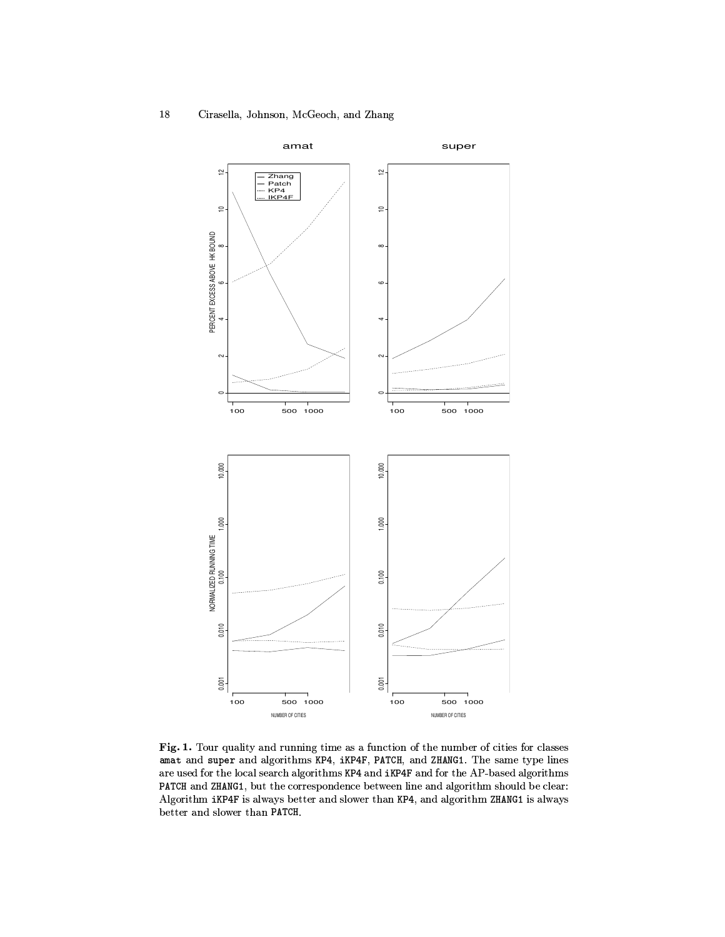

 $18\,$ Cirasella, Johnson, McGeoch, and Zhang

Fig. 1. Tour quality and running time as a function of the number of cities for classes amat and super and algorithms KP4, iKP4F, PATCH, and ZHANG1. The same type lines are used for the local search algorithms KP4 and iKP4F and for the AP-based algorithms PATCH and ZHANG1, but the correspondence between line and algorithm should be clear: Algorithm iKP4F is always better and slower than KP4, and algorithm ZHANG1 is always better and slower than PATCH.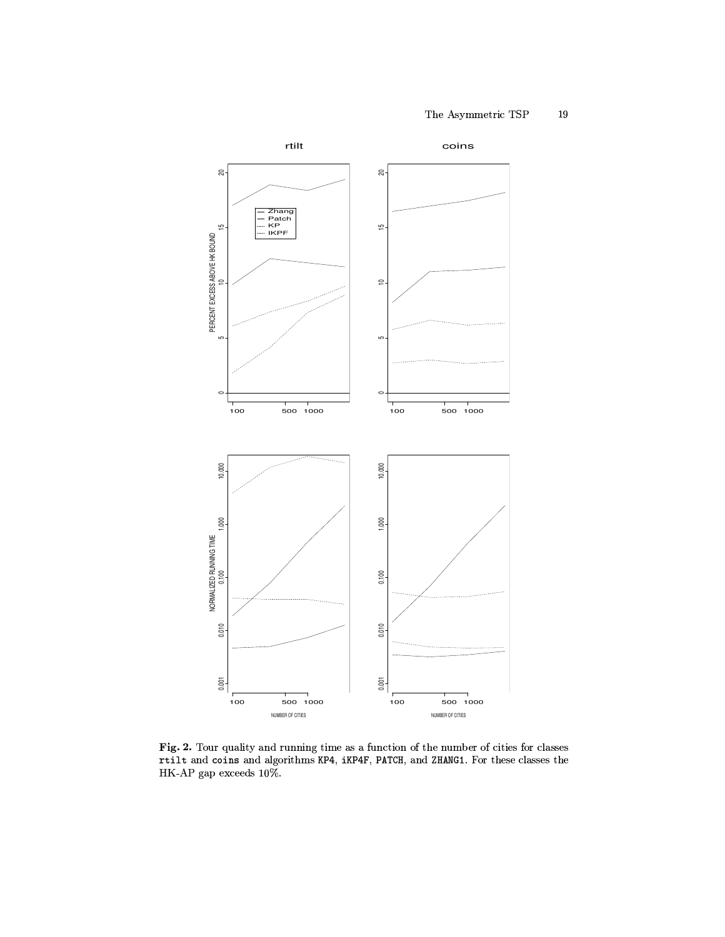

Fig. 2. Tour quality and running time as a function of the number of cities for classes rtilt and coins and algorithms KP4, iKP4F, PATCH, and ZHANG1. For these classes the HK-AP gap exceeds  $10\%$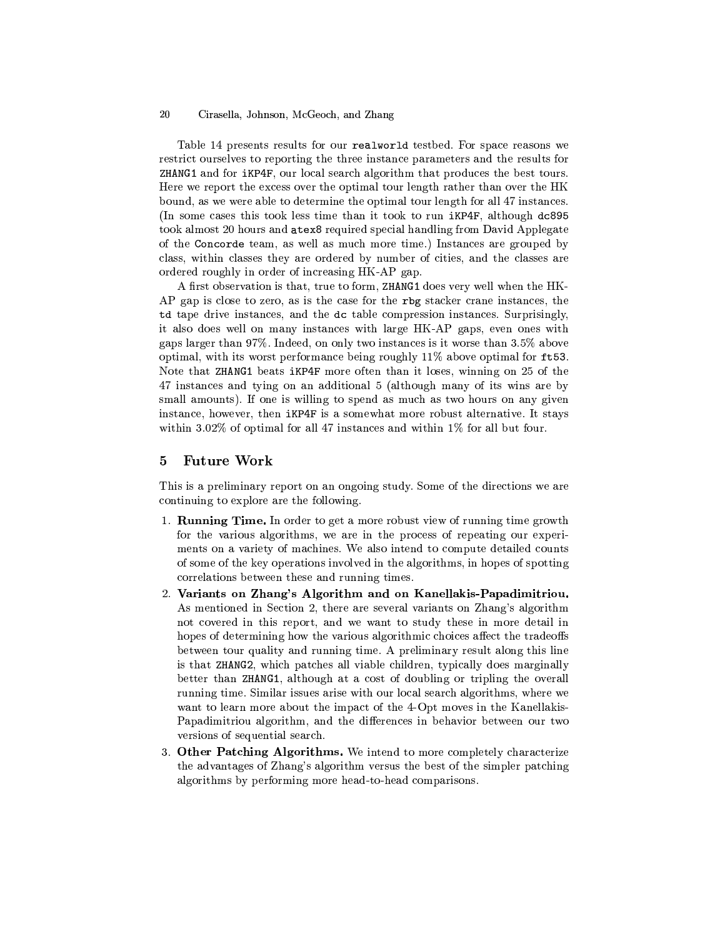Table 14 presents results for our realworld testbed. For space reasons we restrict ourselves to reporting the three instance parameters and the results for ZHANG1 and for iKP4F, our local search algorithm that produces the best tours. Here we report the excess over the optimal tour length rather than over the HK bound, as we were able to determine the optimal tour length for all 47 instances. (In some cases this took less time than it took to run iKP4F, although dc895 took almost 20 hours and atex8 required special handling from David Applegate of the Concorde team, as well as much more time.) Instances are grouped by class, within classes they are ordered by number of cities, and the classes are ordered roughly in order of increasing HK-AP gap.

A first observation is that, true to form, ZHANG1 does very well when the HK-AP gap is close to zero, as is the case for the rbg stacker crane instances, the td tape drive instances, and the dc table compression instances. Surprisingly, it also does well on many instances with large HK-AP gaps, even ones with gaps larger than  $97\%$ . Indeed, on only two instances is it worse than  $3.5\%$  above optimal, with its worst performance being roughly 11% above optimal for ft53. Note that ZHANG1 beats iKP4F more often than it loses, winning on 25 of the 47 instances and tying on an additional 5 (although many of its wins are by small amounts). If one is willing to spend as much as two hours on any given instance, however, then iKP4F is a somewhat more robust alternative. It stays within 3.02% of optimal for all 47 instances and within  $1\%$  for all but four.

#### $\overline{5}$ **Future Work**

This is a preliminary report on an ongoing study. Some of the directions we are continuing to explore are the following.

- 1. Running Time. In order to get a more robust view of running time growth for the various algorithms, we are in the process of repeating our experiments on a variety of machines. We also intend to compute detailed counts of some of the key operations involved in the algorithms, in hopes of spotting correlations between these and running times.
- 2. Variants on Zhang's Algorithm and on Kanellakis-Papadimitriou. As mentioned in Section 2, there are several variants on Zhang's algorithm not covered in this report, and we want to study these in more detail in hopes of determining how the various algorithmic choices affect the tradeoffs between tour quality and running time. A preliminary result along this line is that ZHANG2, which patches all viable children, typically does marginally better than ZHANG1, although at a cost of doubling or tripling the overall running time. Similar issues arise with our local search algorithms, where we want to learn more about the impact of the 4-Opt moves in the Kanellakis-Papadimitriou algorithm, and the differences in behavior between our two versions of sequential search.
- 3. Other Patching Algorithms. We intend to more completely characterize the advantages of Zhang's algorithm versus the best of the simpler patching algorithms by performing more head-to-head comparisons.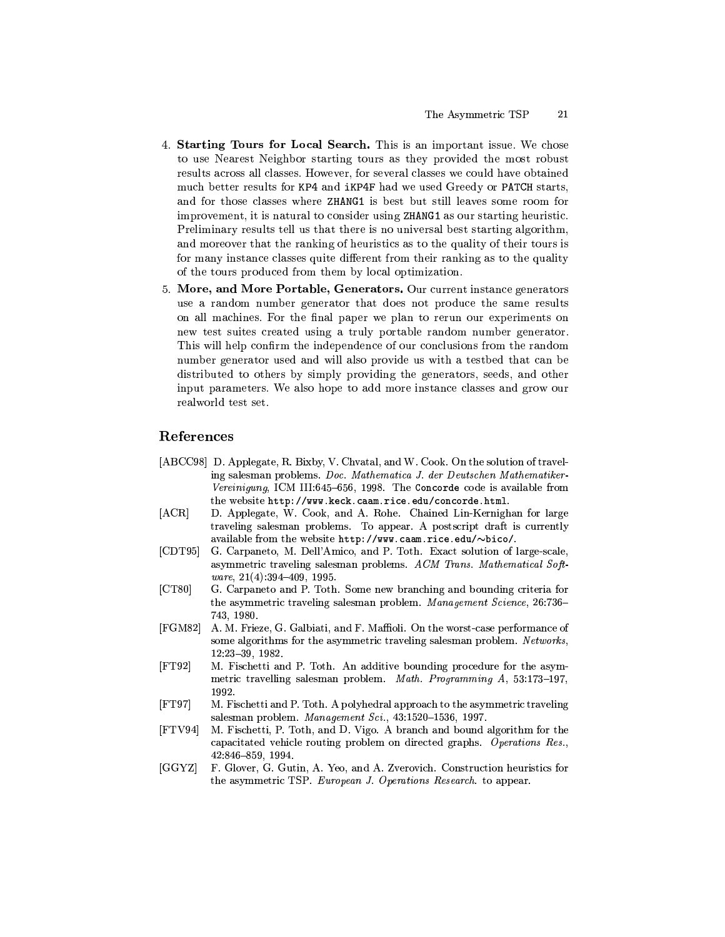- 4. Starting Tours for Local Search. This is an important issue. We chose to use Nearest Neighbor starting tours as they provided the most robust results across all classes. However, for several classes we could have obtained much better results for KP4 and iKP4F had we used Greedy or PATCH starts. and for those classes where ZHANG1 is best but still leaves some room for improvement, it is natural to consider using ZHANG1 as our starting heuristic. Preliminary results tell us that there is no universal best starting algorithm, and moreover that the ranking of heuristics as to the quality of their tours is for many instance classes quite different from their ranking as to the quality of the tours produced from them by local optimization.
- 5. More, and More Portable, Generators. Our current instance generators use a random number generator that does not produce the same results on all machines. For the final paper we plan to rerun our experiments on new test suites created using a truly portable random number generator. This will help confirm the independence of our conclusions from the random number generator used and will also provide us with a testbed that can be distributed to others by simply providing the generators, seeds, and other input parameters. We also hope to add more instance classes and grow our realworld test set.

# References

- [ABCC98] D. Applegate, R. Bixby, V. Chvatal, and W. Cook. On the solution of traveling salesman problems. Doc. Mathematica J. der Deutschen Mathematiker-Vereinigung, ICM III:645-656, 1998. The Concorde code is available from the website http://www.keck.caam.rice.edu/concorde.html.
- $[ACR]$ D. Applegate, W. Cook, and A. Rohe. Chained Lin-Kernighan for large traveling salesman problems. To appear. A postscript draft is currently available from the website  ${\tt http://www.caam.rice.edu/~bico/}.$
- $[CDT95]$ G. Carpaneto, M. Dell'Amico, and P. Toth. Exact solution of large-scale, asymmetric traveling salesman problems. ACM Trans. Mathematical Software,  $21(4):394-409, 1995.$
- G. Carpaneto and P. Toth. Some new branching and bounding criteria for  $[CT80]$ the asymmetric traveling salesman problem. Management Science, 26:736-743, 1980.
- [FGM82] A. M. Frieze, G. Galbiati, and F. Maffioli. On the worst-case performance of some algorithms for the asymmetric traveling salesman problem. Networks, 12:23-39, 1982.
- $[FT92]$ M. Fischetti and P. Toth. An additive bounding procedure for the asymmetric travelling salesman problem. Math. Programming A, 53:173-197, 1992.
- $[FT97]$ M. Fischetti and P. Toth. A polyhedral approach to the asymmetric traveling salesman problem. Management Sci., 43:1520-1536, 1997.
- $[FTV94]$ M. Fischetti, P. Toth, and D. Vigo. A branch and bound algorithm for the capacitated vehicle routing problem on directed graphs. Operations Res., 42:846-859, 1994.
- $[GGYZ]$ F. Glover, G. Gutin, A. Yeo, and A. Zverovich. Construction heuristics for the asymmetric TSP. European J. Operations Research. to appear.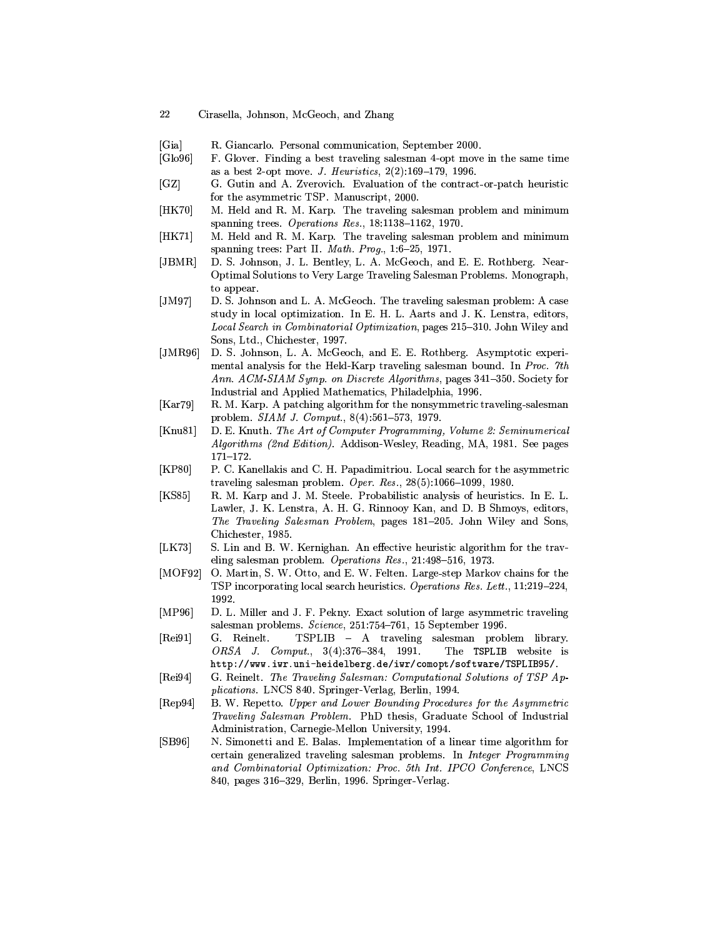- 22 Cirasella, Johnson, McGeoch, and Zhang
- $[G_1]$ R. Giancarlo. Personal communication, September 2000.
- F. Glover. Finding a best traveling salesman 4-opt move in the same time  $[Glo96]$ as a best 2-opt move. *J. Heuristics*,  $2(2):169-179$ , 1996.
- $[GZ]$ G. Gutin and A. Zverovich. Evaluation of the contract-or-patch heuristic for the asymmetric TSP. Manuscript. 2000.
- M. Held and R. M. Karp. The traveling salesman problem and minimum  $[HK70]$ spanning trees. Operations Res., 18:1138-1162, 1970.
- $[HK71]$ M. Held and R. M. Karp. The traveling salesman problem and minimum spanning trees: Part II. *Math. Prog.*,  $1.6-25$ , 1971.
- $[JBMR]$ D. S. Johnson, J. L. Bentley, L. A. McGeoch, and E. E. Rothberg. Near-Optimal Solutions to Very Large Traveling Salesman Problems. Monograph, to appear.
- $[JM97]$ D. S. Johnson and L. A. McGeoch. The traveling salesman problem: A case study in local optimization. In E. H. L. Aarts and J. K. Lenstra, editors. Local Search in Combinatorial Optimization, pages 215–310. John Wiley and Sons, Ltd., Chichester, 1997.
- $[JMR96]$ D. S. Johnson, L. A. McGeoch, and E. E. Rothberg. Asymptotic experimental analysis for the Held-Karp traveling salesman bound. In Proc. 7th Ann. ACM-SIAM Symp. on Discrete Algorithms, pages 341-350. Society for Industrial and Applied Mathematics, Philadelphia, 1996.
- $[Kar79]$ R. M. Karp. A patching algorithm for the nonsymmetric traveling-salesman problem.  $SIAM$  J. Comput., 8(4):561-573, 1979.
- $[Knu81]$ D. E. Knuth. The Art of Computer Programming, Volume 2: Seminumerical Algorithms (2nd Edition). Addison-Wesley, Reading, MA, 1981. See pages  $171 - 172.$
- $[KP80]$ P. C. Kanellakis and C. H. Papadimitriou. Local search for the asymmetric traveling salesman problem. Oper. Res.,  $28(5):1066-1099$ , 1980.
- $[KS85]$ R. M. Karp and J. M. Steele. Probabilistic analysis of heuristics. In E. L. Lawler, J. K. Lenstra, A. H. G. Rinnooy Kan, and D. B Shmoys, editors, The Traveling Salesman Problem, pages 181-205. John Wiley and Sons, Chichester, 1985.
- S. Lin and B. W. Kernighan. An effective heuristic algorithm for the trav- $[LK73]$ eling salesman problem. Operations Res., 21:498-516, 1973.
- O. Martin, S. W. Otto, and E. W. Felten. Large-step Markov chains for the  $[MOF92]$ TSP incorporating local search heuristics. Operations Res. Lett., 11:219-224, 1992
- $[MP96]$ D. L. Miller and J. F. Pekny. Exact solution of large asymmetric traveling salesman problems. Science, 251:754-761, 15 September 1996.
- G. Reinelt. TSPLIB - A traveling salesman problem library.  $[Rei91]$ ORSA J. Comput., 3(4):376-384, 1991. The TSPLIB website is http://www.iwr.uni-heidelberg.de/iwr/comopt/software/TSPLIB95/.
- $[Rei94]$ G. Reinelt. The Traveling Salesman: Computational Solutions of TSP Applications. LNCS 840. Springer-Verlag, Berlin, 1994.
- $[Rep94]$ B. W. Repetto. Upper and Lower Bounding Procedures for the Asymmetric Traveling Salesman Problem. PhD thesis, Graduate School of Industrial Administration, Carnegie-Mellon University, 1994.
- $[SB96]$ N. Simonetti and E. Balas. Implementation of a linear time algorithm for certain generalized traveling salesman problems. In Integer Programming and Combinatorial Optimization: Proc. 5th Int. IPCO Conference, LNCS 840, pages 316-329, Berlin, 1996. Springer-Verlag.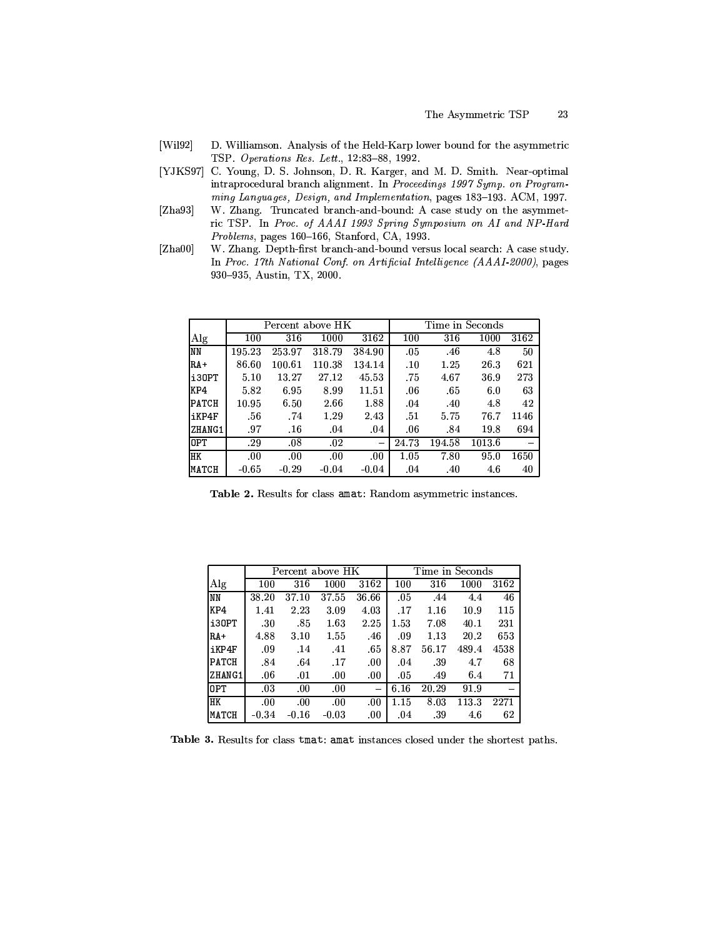- $[Wi192]$ D. Williamson. Analysis of the Held-Karp lower bound for the asymmetric TSP. Operations Res. Lett., 12:83-88, 1992.
- [YJKS97] C. Young, D. S. Johnson, D. R. Karger, and M. D. Smith. Near-optimal intraprocedural branch alignment. In Proceedings 1997 Symp. on Programming Languages, Design, and Implementation, pages 183-193. ACM, 1997.
- $[Zha93]$ W. Zhang. Truncated branch-and-bound: A case study on the asymmetric TSP. In Proc. of AAAI 1993 Spring Symposium on AI and NP-Hard Problems, pages 160-166, Stanford, CA, 1993.
- $[Zha00]$ W. Zhang. Depth-first branch-and-bound versus local search: A case study. In Proc. 17th National Conf. on Artificial Intelligence (AAAI-2000), pages 930-935, Austin, TX, 2000.

|           |         |         | Percent above HK |                          |       | Time in Seconds |        |      |
|-----------|---------|---------|------------------|--------------------------|-------|-----------------|--------|------|
| Alg       | 100     | 316     | 1000             | 3162                     | 100   | 316             | 1000   | 3162 |
| <b>NN</b> | 195 23  | 253.97  | 318.79           | 384.90                   | .05   | -46             | 4.8    | 50   |
| $RA+$     | 86.60   | 100.61  | 110.38           | 134.14                   | .10   | 1.25            | 26.3   | 621  |
| i30PT     | 5.10    | 13.27   | 27.12            | 45.53                    | .75   | 4.67            | 36.9   | 273  |
| KP4       | 5.82    | 6.95    | 8.99             | 11.51                    | .06   | .65             | 6.0    | 63   |
| PATCH     | 10.95   | 6.50    | 2.66             | 1.88                     | .04   | .40             | 4.8    | 42   |
| iKP4F     | -56     | .74     | 1.29             | 2.43                     | .51   | 5.75            | 76.7   | 1146 |
| ZHANG1    | .97     | .16     | .04              | .04                      | .06   | .84             | 19.8   | 694  |
| OPT       | -29     | .08     | $.02\,$          | $\overline{\phantom{0}}$ | 24.73 | 194.58          | 1013.6 |      |
| HK        | .00.    | .00.    | .00.             | .00.                     | 1.05  | 7.80            | 95.0   | 1650 |
| MAICH     | $-0.65$ | $-0.29$ | $-0.04$          | $-0.04$                  | .04   | .40             | 4.6    | 40   |

Table 2. Results for class amat: Random asymmetric instances.

|           |         | Percent above HK |            |                          |      | Time in Seconds |       |      |
|-----------|---------|------------------|------------|--------------------------|------|-----------------|-------|------|
| Alg       | 100     | 316              | 1000       | 3162                     | 100  | 316             | 1000  | 3162 |
| <b>NN</b> | 38.20   | 37.10            | 37.55      | 36.66                    | 05   | -44             | 4.4   | 46   |
| KP4       | 1.41    | 2.23             | 3.09       | 4.03                     | .17  | 1.16            | 10.9  | 115  |
| i30PT     | -30     | .85              | 1.63       | 2.25                     | 1.53 | 7.08            | 40.1  | 231  |
| $RA+$     | 4.88    | 3.10             | 1.55       | .46                      | .09  | 1.13            | 20.2  | 653  |
| iKP4F     | .09     | .14              | .41        | .65                      | 8.87 | 56.17           | 489.4 | 4538 |
| PATCH     | .84     | -64              | .17        | $\cdot$ 00               | .04  | -39             | 4.7   | 68   |
| ZHANG1    | .06     | .01              | .00        | $\cdot$ 00               | 05   | .49             | 6.4   | 71   |
| IOP T     | 03      | .00              | $\cdot$ 00 | $\overline{\phantom{m}}$ | 6.16 | 20.29           | 91.9  |      |
| HK        | .00.    | .00.             | .00.       | .00                      | 1.15 | 8.03            | 113.3 | 2271 |
| MATCH     | $-0.34$ | $-0.16$          | $-0.03$    | .00.                     | .04  | -39             | 4.6   | 62   |

Table 3. Results for class tmat: amat instances closed under the shortest paths.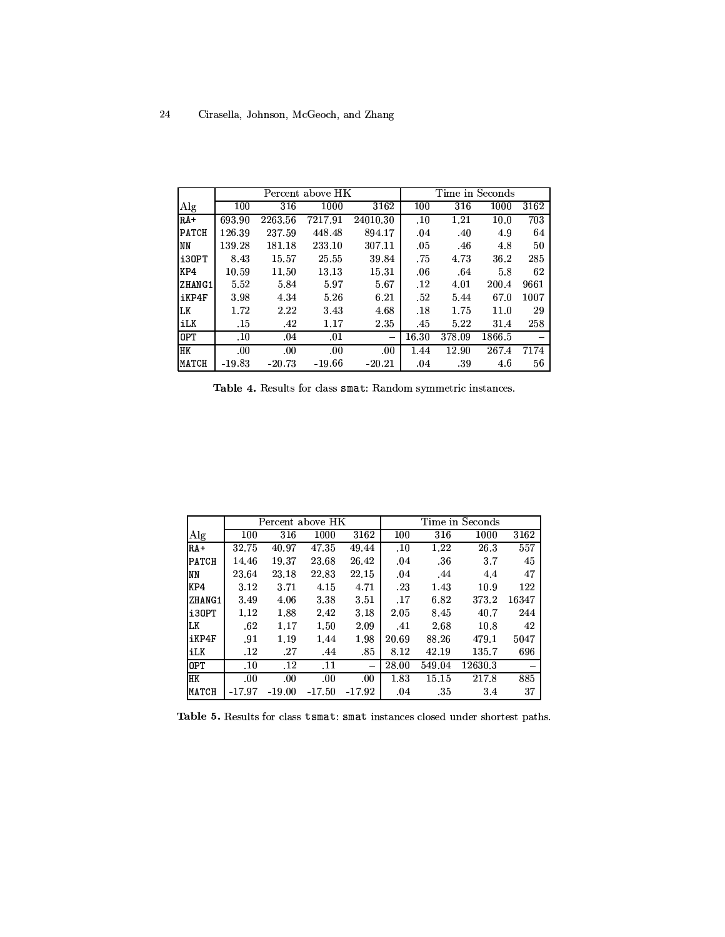|           |          |          | Percent above HK |                                |       | Time in Seconds |        |      |
|-----------|----------|----------|------------------|--------------------------------|-------|-----------------|--------|------|
| Alg       | 100      | 316      | 1000             | 3162                           | 100   | 316             | 1000   | 3162 |
| $RA+$     | 693.90   | 2263.56  | 7217.91          | 24010.30                       | .10   | 1.21            | 10.0   | 703  |
| PATCH     | 126.39   | 237.59   | 448.48           | 894.17                         | .04   | .40             | 4.9    | 64   |
| <b>NN</b> | 139.28   | 181.18   | 233.10           | 307.11                         | .05   | -46             | 4.8    | 50   |
| i30PT     | 8.43     | 15.57    | 25.55            | 39.84                          | -75   | 4.73            | 36.2   | 285  |
| KP4       | 10.59    | 11.50    | 13.13            | 15.31                          | 06    | .64             | 5.8    | 62   |
| ZHANG1    | 5.52     | 5.84     | 5.97             | 5.67                           | .12   | 4.01            | 200.4  | 9661 |
| iKP4F     | 3.98     | 4.34     | 5.26             | 6.21                           | -52   | 5.44            | 67.0   | 1007 |
| LK        | 1.72     | 2.22     | 3.43             | 4.68                           | .18   | 1.75            | 11.0   | 29   |
| iLK       | .15      | .42      | 1.17             | 2.35                           | .45   | 5.22            | 31.4   | 258  |
| OPT.      | .10      | .04      | .01              | $\qquad \qquad \longleftarrow$ | 16.30 | 378.09          | 1866.5 |      |
| HK        | .00      | .00      | .00.             | .00                            | 1.44  | 12.90           | 267.4  | 7174 |
| MATCH     | $-19.83$ | $-20.73$ | $-19.66$         | $-20.21$                       | .04   | -39             | 4.6    | 56   |

Table 4. Results for class smat: Random symmetric instances.

|             |          |          | Percent above HK |          |         |        | Time in Seconds |       |
|-------------|----------|----------|------------------|----------|---------|--------|-----------------|-------|
| Alg         | $100\,$  | 316      | 1000             | 3162     | 100     | 316    | 1000            | 3162  |
| $RA+$       | 32.75    | 40.97    | 47.35            | 49.44    | $.10\,$ | 1.22   | 26.3            | 557   |
| PATCH       | 14.46    | 19.37    | 23.68            | 26.42    | .04     | -36    | 3.7             | 45    |
| NN          | 23.64    | 23.18    | 22.83            | 22.15    | .04     | -44    | 4,4             | 47    |
| KP4         | 3.12     | 3.71     | 4.15             | 4.71     | -23     | 1.43   | 10.9            | 122   |
| ZHANG1      | 3.49     | 4.06     | 3.38             | 3.51     | .17     | 6.82   | 373.2           | 16347 |
| i30PT       | 1.12     | 1.88     | 2.42             | 3.18     | 2.05    | 8.45   | 40.7            | 244   |
| LΚ          | .62      | 1.17     | 1.50             | 2.09     | .41     | 2.68   | 10.8            | 42    |
| iKP4F       | .91      | 1.19     | 1.44             | 1.98     | 20.69   | 88.26  | 479.1           | 5047  |
| <b>liLK</b> | $.12\,$  | .27      | .44              | .85      | 8.12    | 42.19  | 135.7           | 696   |
| OPT.        | .10      | .12      | .11              |          | 28.00   | 549.04 | 12630.3         |       |
| HK          | .00.     | .00      | .00              | .00.     | 1.83    | 15.15  | 217.8           | 885   |
| MATCH       | $-17.97$ | $-19.00$ | $-17.50$         | $-17.92$ | .04     | -35    | 3.4             | 37    |

Table 5. Results for class  $t$ smat: smat instances closed under shortest paths.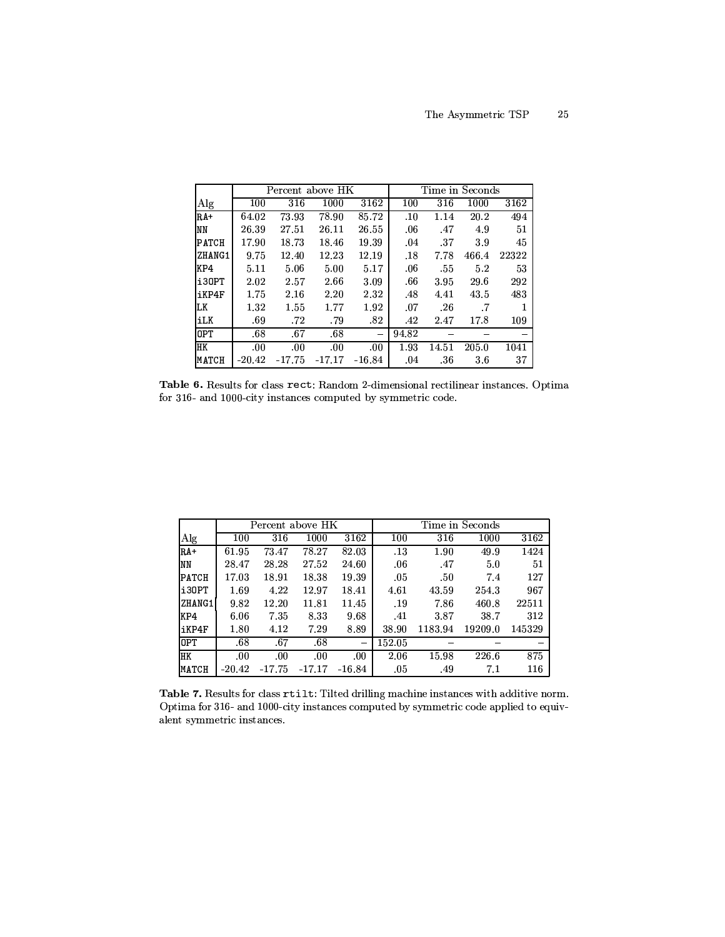|           |          |          | Percent above HK |          |       | Time in Seconds |           |       |
|-----------|----------|----------|------------------|----------|-------|-----------------|-----------|-------|
| Alg       | 100      | 316      | 1000             | 3162     | 100   | 316             | 1000      | 3162  |
| $RA+$     | 64.02    | 73.93    | 78.90            | 85.72    | .10   | 1.14            | 20.2      | 494   |
| <b>NN</b> | 26.39    | 27.51    | 26.11            | 26.55    | .06   | .47             | 4.9       | 51    |
| PATCH     | 17.90    | 18.73    | 18.46            | 19.39    | .04   | -37             | 39        | 45    |
| ZHANG1    | 9.75     | 12.40    | 12.23            | 12.19    | .18   | 7.78            | 466.4     | 22322 |
| KP4       | 5.11     | 5.06     | 5.00             | 5.17     | .06   | .55             | 5.2       | 53    |
| i30PT     | 2.02     | 2.57     | 2.66             | 3.09     | .66   | 3.95            | 29.6      | 292   |
| iKP4F     | 1.75     | 2.16     | 2.20             | 2.32     | .48   | 4.41            | 43.5      | 483   |
| LK        | 1.32     | 1.55     | 1.77             | 1.92     | .07   | -26             | $\cdot 7$ | 1     |
| iLK       | -69      | -72      | -79              | .82      | -42   | 2.47            | 17.8      | 109   |
| IOP T     | .68      | .67      | .68              |          | 94.82 |                 |           |       |
| HK        | .00      | .00      | .00              | .00      | 1.93  | 14.51           | 205.0     | 1041  |
| MATCH     | $-20.42$ | $-17.75$ | $-17.17$         | $-16.84$ | .04   | .36             | 36        | 37    |

Table 6. Results for class rect: Random 2-dimensional rectilinear instances. Optima êdy A ô Âl literatura a Ôâ în principii de la constantin a literatura a literatura a literatura a literatura a

|           |          |          | Percent above HK |                          |        |         | Time in Seconds |        |
|-----------|----------|----------|------------------|--------------------------|--------|---------|-----------------|--------|
| Alg       | 100      | 316      | 1000             | 3162                     | 100    | 316     | 1000            | 3162   |
| $RA+$     | 61.95    | 73.47    | 78.27            | 82.03                    | .13    | 1.90    | 49.9            | 1424   |
| <b>NN</b> | 28.47    | 28.28    | 27.52            | 24.60                    | .06    | .47     | 5.0             | 51     |
| PATCH     | 17.03    | 18.91    | 18.38            | 19.39                    | .05    | .50     | 7.4             | 127    |
| i3OPT     | 1.69     | 4.22     | 12.97            | 18.41                    | 4.61   | 43.59   | 254.3           | 967    |
| ZHANG1    | 9.82     | 12.20    | 11.81            | 11.45                    | .19    | 7.86    | 460.8           | 22511  |
| KP4       | 6.06     | 7.35     | 8.33             | 9.68                     | -41    | 3.87    | 38.7            | 312    |
| iKP4F     | 1.80     | 4.12     | 7.29             | 8.89                     | 38.90  | 1183.94 | 19209.0         | 145329 |
| OPT.      | .68      | .67      | .68              | $\overline{\phantom{0}}$ | 152.05 |         |                 |        |
| HK        | .00.     | .00      | .00              | .00.                     | 2.06   | 15.98   | 226.6           | 875    |
| MATCH     | $-20.42$ | $-17.75$ | $-17.17$         | $-16.84$                 | .05    | .49     | 7.1             | 116    |

Table 7. Results for class  $\texttt{right}$ : Tilted drilling machine instances with additive norm.  $\hat{a}$  , a contract decree  $\hat{a}$  . As a contract decree  $\hat{a}$  $\;$  alent symmetric instances.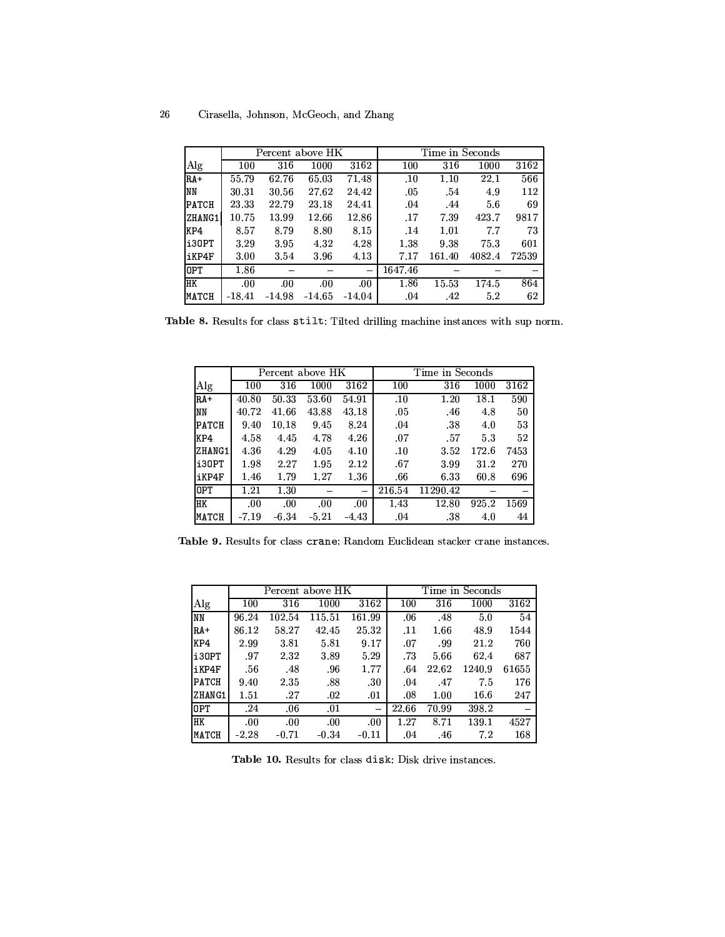|               |          |          | Percent above HK |          |         | Time in Seconds |        |       |
|---------------|----------|----------|------------------|----------|---------|-----------------|--------|-------|
| Alg.          | 100      | 316      | 1000             | 3162     | 100     | 316             | 1000   | 3162  |
| $RA+$         | 55.79    | 62.76    | 65.03            | 71.48    | .10     | 1.10            | 22.1   | 566   |
| NN            | 30 31    | 30.56    | 27.62            | 24.42    | .05     | .54             | 4.9    | 112   |
| PATCH         | 23.33    | 22.79    | 23.18            | 24.41    | .04     | .44             | 5.6    | 69    |
| <b>ZHANG1</b> | 10.75    | 13.99    | 12.66            | 12.86    | .17     | 7.39            | 423.7  | 9817  |
| KP4           | 8.57     | 8.79     | 8.80             | 8.15     | .14     | 1.01            | 7.7    | 73    |
| i30PT         | 3.29     | 3.95     | 4.32             | 4.28     | 1.38    | 9.38            | 75 3   | 601   |
| iKP4F         | 3.00     | 3.54     | 3.96             | 4.13     | 7.17    | 161.40          | 4082.4 | 72539 |
| IOPT.         | 1.86     |          |                  |          | 1647.46 |                 |        |       |
| HK            | .00      | .00      | .00              | .00      | 1.86    | 15.53           | 174.5  | 864   |
| MATCH         | $-18.41$ | $-14.98$ | $-14.65$         | $-14.04$ | .04     | .42             | 5.2    | 62    |

Table 8. Results for class  $\text{stilt}$ : Tilted drilling machine instances with sup norm.

|              |         | Percent above HK |         |          |        | Time in Seconds |       |      |
|--------------|---------|------------------|---------|----------|--------|-----------------|-------|------|
| Alg          | 100     | 316              | 1000    | 3162     | 100    | 316             | 1000  | 3162 |
| $RA+$        | 40.80   | 50 33            | 53.60   | 54.91    | .10    | 1.20            | 18.1  | 590  |
| <b>NN</b>    | 40.72   | 41.66            | 43.88   | 43.18    | .05    | .46             | 4.8   | 50   |
| <b>PATCH</b> | 9.40    | 10.18            | 9.45    | 8.24     | .04    | -38             | 4.0   | 53   |
| KP4          | 4.58    | 4.45             | 4.78    | 4.26     | .07    | .57             | 53    | 52   |
| ZHANG1       | 4.36    | 4.29             | 4.05    | 4.10     | .10    | 3.52            | 172.6 | 7453 |
| i3OPT        | 1.98    | 2.27             | 1.95    | 2.12     | -67    | 3.99            | 31.2  | 270  |
| iKP4F        | 1.46    | 1.79             | 1.27    | 1.36     | .66    | 6.33            | 60.8  | 696  |
| OP T         | 1.21    | 1.30             |         | $\equiv$ | 216.54 | 11290.42        |       |      |
| HK           | .00.    | .00              | .00     | .00      | 1.43   | 12.80           | 925.2 | 1569 |
| <b>MATCH</b> | $-7.19$ | $-6.34$          | $-5.21$ | $-4.43$  | -04    | -38             | 4.0   | 44   |

Table 9. Results for class crane: Random Euclidean stacker crane instances.

|        |         |         | Percent above HK |                          |       |       | Time in Seconds |       |
|--------|---------|---------|------------------|--------------------------|-------|-------|-----------------|-------|
| Alg    | 100     | 316     | 1000             | 3162                     | 100   | 316   | 1000            | 3162  |
| NN     | 96.24   | 102.54  | 115.51           | 161.99                   | .06   | -48   | 5.0             | 54    |
| $RA+$  | 86.12   | 58.27   | 42.45            | 25.32                    | .11   | 1.66  | 48.9            | 1544  |
| KP4    | 2.99    | 3.81    | 5.81             | 9.17                     | 07    | -99   | 21.2            | 760   |
| i30PT  | .97     | 2.32    | 389              | 5.29                     | .73   | 5.66  | 62.4            | 687   |
| iKP4F  | .56     | .48     | .96              | 1.77                     | .64   | 22.62 | 1240.9          | 61655 |
| PAICH  | 9.40    | 2.35    | .88              | 30                       | .04   | .47   | 7.5             | 176   |
| ZHANG1 | 1.51    | -27     | 0 <sub>2</sub>   | .01                      | .08   | 1.00  | 16.6            | 247   |
| IOPT.  | .24     | .06     | .01              | $\overline{\phantom{0}}$ | 22.66 | 70.99 | 398.2           |       |
| HK     | .00     | .00.    | .00              | .00                      | 1.27  | 8.71  | 139.1           | 4527  |
| MAICH  | $-2.28$ | $-0.71$ | $-0.34$          | $-0.11$                  | .04   | -46   | 7.2             | 168   |

Table 10. Results for class  $dist$ : Disk drive instances.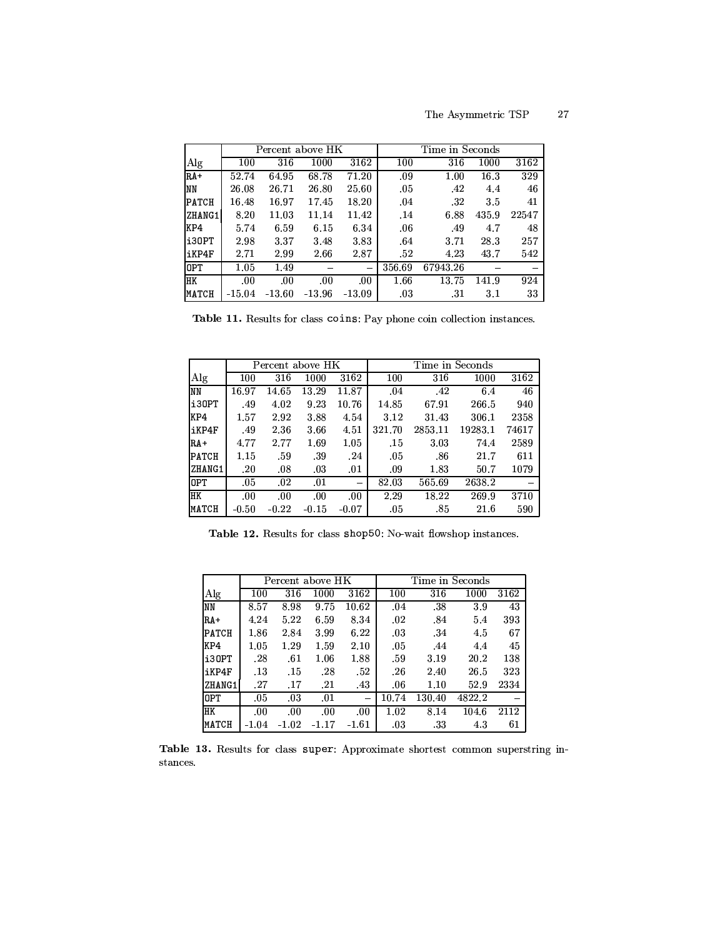|               |          |          | Percent above HK |                          |        | Time in Seconds |       |       |
|---------------|----------|----------|------------------|--------------------------|--------|-----------------|-------|-------|
| Alg           | $100\,$  | 316      | 1000             | 3162                     | 100    | 316             | 1000  | 3162  |
| $RA+$         | 52.74    | 64.95    | 68.78            | 71.20                    | .09    | 1.00            | 16.3  | 329   |
| <b>NN</b>     | 26.08    | 26.71    | 26.80            | 25.60                    | .05    | .42             | 4,4   | 46    |
| PATCH         | 16.48    | 16.97    | 17.45            | 18.20                    | .04    | -32             | 3.5   | 41    |
| <b>ZHANG1</b> | 8.20     | 11.03    | 11.14            | 11.42                    | .14    | 6.88            | 435.9 | 22547 |
| KP4           | 5.74     | 6.59     | 6.15             | 6.34                     | .06    | .49             | 4.7   | 48    |
| i30PT         | 2.98     | 3.37     | 3.48             | 383                      | -64    | 3.71            | 28.3  | 257   |
| liKP4F        | 2.71     | 2.99     | 2.66             | 2.87                     | -52    | 4.23            | 43.7  | 542   |
| OP T          | 1.05     | 1.49     |                  | $\overline{\phantom{a}}$ | 356.69 | 67943.26        |       |       |
| HK            | .00.     | .00.     | .00              | .00                      | 1.66   | 13.75           | 141.9 | 924   |
| MATCH         | $-15.04$ | $-13.60$ | $-13.96$         | $-13.09$                 | .03    | .31             | 3.1   | 33    |

Table 11. Results for class coins: Pay phone coin collection instances.

|              |            |         | Percent above HK |                          |        | Time in Seconds |         |       |
|--------------|------------|---------|------------------|--------------------------|--------|-----------------|---------|-------|
| Alg          | $100\,$    | 316     | 1000             | 3162                     | 100    | 316             | 1000    | 3162  |
| <b>NN</b>    | 16.97      | 14.65   | 13.29            | 11.87                    | .04    | -42             | 6.4     | 46    |
| li3OPT       | .49        | 4.02    | 9.23             | 10.76                    | 14.85  | 67.91           | 266.5   | 940   |
| KP4          | 1.57       | 2.92    | 3.88             | 4.54                     | 3.12   | 31.43           | 306.1   | 2358  |
| iKP4F        | .49        | 2.36    | 366              | 4.51                     | 321.70 | 2853.11         | 19283.1 | 74617 |
| $RA+$        | 4.77       | 2.77    | 1.69             | 1.05                     | 15     | 3.03            | 74.4    | 2589  |
| PATCH        | 1.15       | -59     | -39              | -24                      | .05    | .86             | 21.7    | 611   |
| ZHANG1       | .20        | .08     | .03              | .01                      | .09    | 1.83            | 50.7    | 1079  |
| IOPT.        | 05         | .02     | .01              | $\overline{\phantom{m}}$ | 82.03  | 565.69          | 2638.2  |       |
| HK           | $\cdot$ 00 | .00     | $\cdot$ 00       | .00                      | 2.29   | 18.22           | 269.9   | 3710  |
| <b>MATCH</b> | $-0.50$    | $-0.22$ | $-0.15$          | $-0.07$                  | -05    | -85             | 21.6    | 590   |

Table 12. Results for class shop50: No-wait flowshop instances.

|        | Percent above HK |         |         |                          | Time in Seconds |        |        |      |
|--------|------------------|---------|---------|--------------------------|-----------------|--------|--------|------|
| Alg    | $100\,$          | 316     | 1000    | 3162                     | 100             | 316    | 1000   | 3162 |
| NN     | 8.57             | 8.98    | 9.75    | 10.62                    | .04             | -38    | 39     | 43   |
| $RA+$  | 4.24             | 5.22    | 6.59    | 8.34                     | $_{02}$         | .84    | 5.4    | 393  |
| PATCH  | 1.86             | 2.84    | 3.99    | 6.22                     | .03             | -34    | 4.5    | 67   |
| KP4    | 1.05             | 1.29    | 1.59    | 2.10                     | 05              | .44    | 4.4    | 45   |
| i30PT  | .28              | .61     | 1.06    | 1.88                     | -59             | 3.19   | 20.2   | 138  |
| iKP4F  | .13              | .15     | .28     | .52                      | .26             | 2.40   | 26.5   | 323  |
| ZHANG1 | .27              | .17     | .21     | .43                      | .06             | 1.10   | 52.9   | 2334 |
| OPT.   | .05              | .03     | .01     | $\overline{\phantom{m}}$ | 10.74           | 130.40 | 4822.2 |      |
| HК     | .00.             | .00.    | .00.    | .00.                     | 1.02            | 8.14   | 104.6  | 2112 |
| MATCH  | $-1.04$          | $-1.02$ | $-1.17$ | $-1.61$                  | -03             | -33    | 4.3    | 61   |

 ${\tt stances}.$